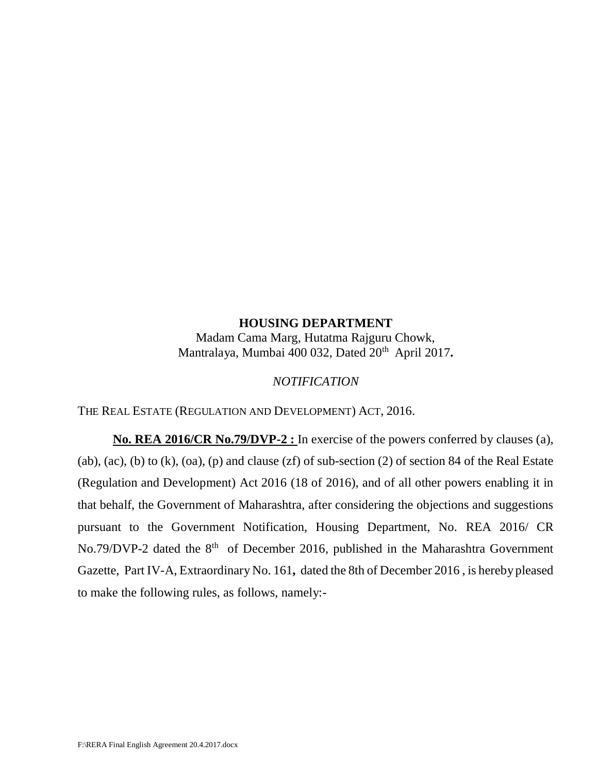# **HOUSING DEPARTMENT** Madam Cama Marg, Hutatma Rajguru Chowk, Mantralaya, Mumbai 400 032, Dated 20th April 2017**.**

## *NOTIFICATION*

THE REAL ESTATE (REGULATION AND DEVELOPMENT) ACT, 2016.

**No. REA 2016/CR No.79/DVP-2 :** In exercise of the powers conferred by clauses (a), (ab), (ac), (b) to (k), (oa), (p) and clause (zf) of sub-section (2) of section 84 of the Real Estate (Regulation and Development) Act 2016 (18 of 2016), and of all other powers enabling it in that behalf, the Government of Maharashtra, after considering the objections and suggestions pursuant to the Government Notification, Housing Department, No. REA 2016/ CR No.79/DVP-2 dated the 8<sup>th</sup> of December 2016, published in the Maharashtra Government Gazette, Part IV-A, Extraordinary No. 161**,** dated the 8th of December 2016 , is hereby pleased to make the following rules, as follows, namely:-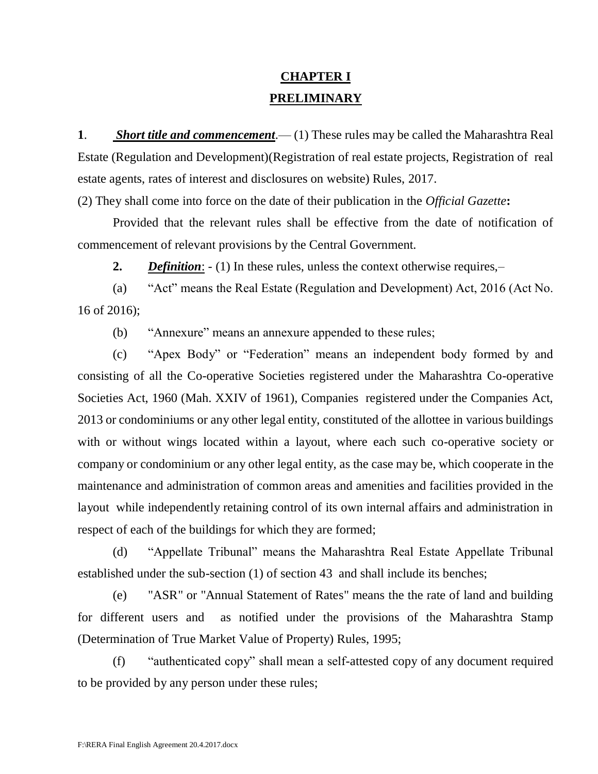# **CHAPTER I PRELIMINARY**

**1**. *Short title and commencement*.— (1) These rules may be called the Maharashtra Real Estate (Regulation and Development)(Registration of real estate projects, Registration of real estate agents, rates of interest and disclosures on website) Rules, 2017.

(2) They shall come into force on the date of their publication in the *Official Gazette***:**

Provided that the relevant rules shall be effective from the date of notification of commencement of relevant provisions by the Central Government.

**2.** *Definition*: - (1) In these rules, unless the context otherwise requires,–

(a) "Act" means the Real Estate (Regulation and Development) Act, 2016 (Act No. 16 of 2016);

(b) "Annexure" means an annexure appended to these rules;

(c) "Apex Body" or "Federation" means an independent body formed by and consisting of all the Co-operative Societies registered under the Maharashtra Co-operative Societies Act, 1960 (Mah. XXIV of 1961), Companies registered under the Companies Act, 2013 or condominiums or any other legal entity, constituted of the allottee in various buildings with or without wings located within a layout, where each such co-operative society or company or condominium or any other legal entity, as the case may be, which cooperate in the maintenance and administration of common areas and amenities and facilities provided in the layout while independently retaining control of its own internal affairs and administration in respect of each of the buildings for which they are formed;

(d) "Appellate Tribunal" means the Maharashtra Real Estate Appellate Tribunal established under the sub-section (1) of section 43 and shall include its benches;

(e) "ASR" or "Annual Statement of Rates" means the the rate of land and building for different users and as notified under the provisions of the Maharashtra Stamp (Determination of True Market Value of Property) Rules, 1995;

(f) "authenticated copy" shall mean a self-attested copy of any document required to be provided by any person under these rules;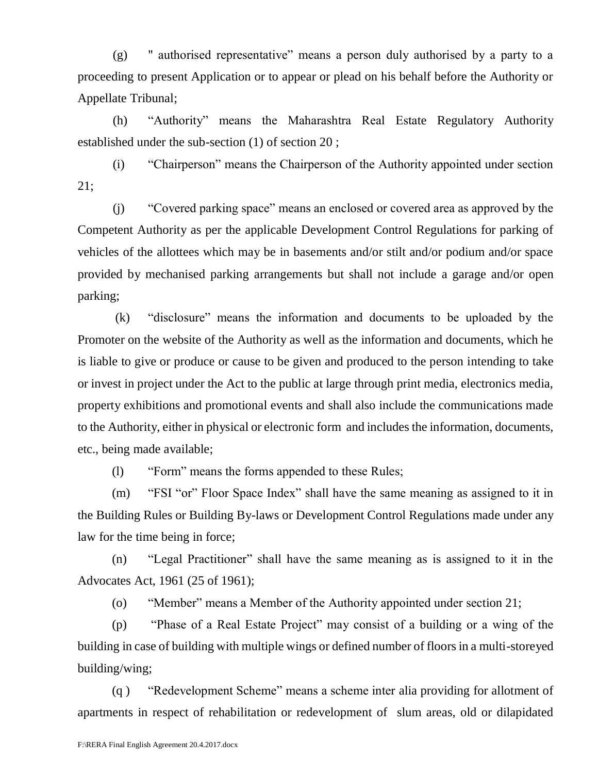(g) " authorised representative" means a person duly authorised by a party to a proceeding to present Application or to appear or plead on his behalf before the Authority or Appellate Tribunal;

(h) "Authority" means the Maharashtra Real Estate Regulatory Authority established under the sub-section (1) of section 20 ;

(i) "Chairperson" means the Chairperson of the Authority appointed under section 21;

(j) "Covered parking space" means an enclosed or covered area as approved by the Competent Authority as per the applicable Development Control Regulations for parking of vehicles of the allottees which may be in basements and/or stilt and/or podium and/or space provided by mechanised parking arrangements but shall not include a garage and/or open parking;

(k) "disclosure" means the information and documents to be uploaded by the Promoter on the website of the Authority as well as the information and documents, which he is liable to give or produce or cause to be given and produced to the person intending to take or invest in project under the Act to the public at large through print media, electronics media, property exhibitions and promotional events and shall also include the communications made to the Authority, either in physical or electronic form and includes the information, documents, etc., being made available;

(l) "Form" means the forms appended to these Rules;

(m) "FSI "or" Floor Space Index" shall have the same meaning as assigned to it in the Building Rules or Building By-laws or Development Control Regulations made under any law for the time being in force;

(n) "Legal Practitioner" shall have the same meaning as is assigned to it in the Advocates Act, 1961 (25 of 1961);

(o) "Member" means a Member of the Authority appointed under section 21;

(p) "Phase of a Real Estate Project" may consist of a building or a wing of the building in case of building with multiple wings or defined number of floors in a multi-storeyed building/wing;

(q ) "Redevelopment Scheme" means a scheme inter alia providing for allotment of apartments in respect of rehabilitation or redevelopment of slum areas, old or dilapidated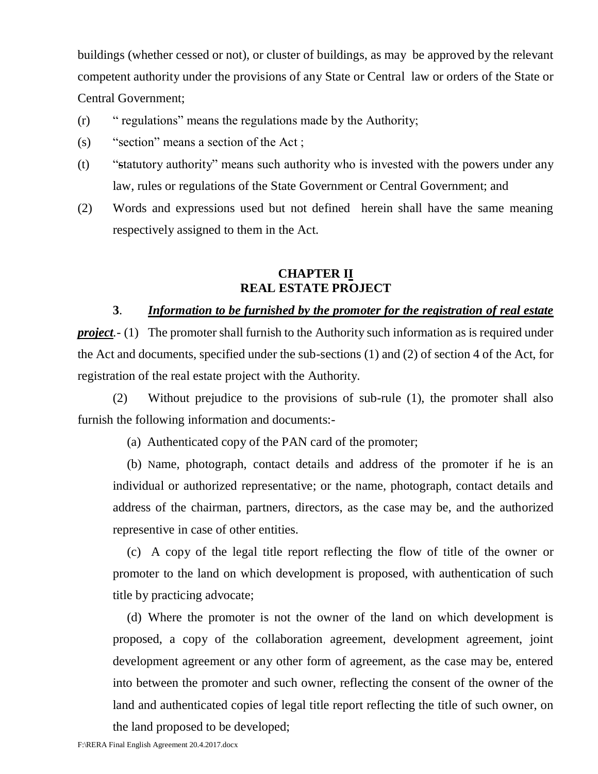buildings (whether cessed or not), or cluster of buildings, as may be approved by the relevant competent authority under the provisions of any State or Central law or orders of the State or Central Government;

- (r) " regulations" means the regulations made by the Authority;
- (s) "section" means a section of the Act ;
- (t) "statutory authority" means such authority who is invested with the powers under any law, rules or regulations of the State Government or Central Government; and
- (2) Words and expressions used but not defined herein shall have the same meaning respectively assigned to them in the Act.

## **CHAPTER II REAL ESTATE PROJECT**

## **3**. *Information to be furnished by the promoter for the registration of real estate*

*project.* (1) The promoter shall furnish to the Authority such information as is required under the Act and documents, specified under the sub-sections (1) and (2) of section 4 of the Act, for registration of the real estate project with the Authority.

(2) Without prejudice to the provisions of sub-rule (1), the promoter shall also furnish the following information and documents:-

(a) Authenticated copy of the PAN card of the promoter;

(b) Name, photograph, contact details and address of the promoter if he is an individual or authorized representative; or the name, photograph, contact details and address of the chairman, partners, directors, as the case may be, and the authorized representive in case of other entities.

(c) A copy of the legal title report reflecting the flow of title of the owner or promoter to the land on which development is proposed, with authentication of such title by practicing advocate;

(d) Where the promoter is not the owner of the land on which development is proposed, a copy of the collaboration agreement, development agreement, joint development agreement or any other form of agreement, as the case may be, entered into between the promoter and such owner, reflecting the consent of the owner of the land and authenticated copies of legal title report reflecting the title of such owner, on the land proposed to be developed;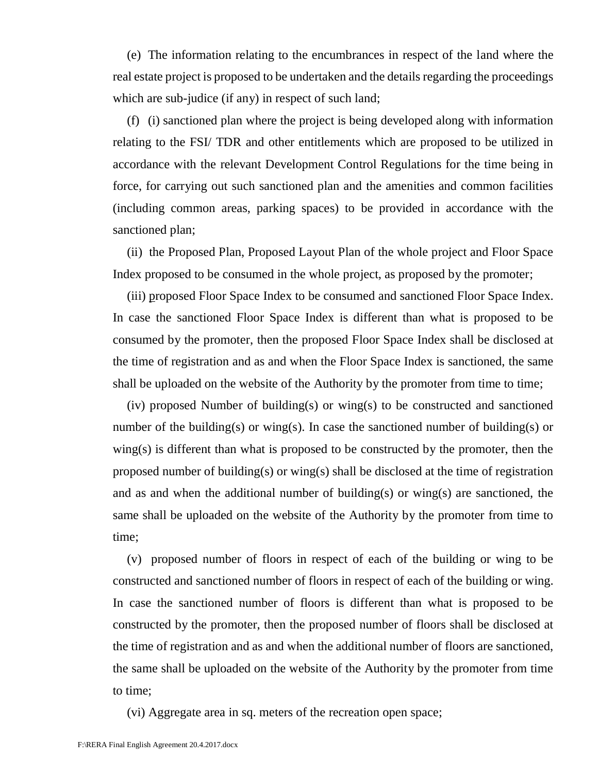(e) The information relating to the encumbrances in respect of the land where the real estate project is proposed to be undertaken and the details regarding the proceedings which are sub-judice (if any) in respect of such land;

(f) (i) sanctioned plan where the project is being developed along with information relating to the FSI/ TDR and other entitlements which are proposed to be utilized in accordance with the relevant Development Control Regulations for the time being in force, for carrying out such sanctioned plan and the amenities and common facilities (including common areas, parking spaces) to be provided in accordance with the sanctioned plan;

(ii) the Proposed Plan, Proposed Layout Plan of the whole project and Floor Space Index proposed to be consumed in the whole project, as proposed by the promoter;

(iii) proposed Floor Space Index to be consumed and sanctioned Floor Space Index. In case the sanctioned Floor Space Index is different than what is proposed to be consumed by the promoter, then the proposed Floor Space Index shall be disclosed at the time of registration and as and when the Floor Space Index is sanctioned, the same shall be uploaded on the website of the Authority by the promoter from time to time;

(iv) proposed Number of building(s) or wing(s) to be constructed and sanctioned number of the building(s) or wing(s). In case the sanctioned number of building(s) or wing(s) is different than what is proposed to be constructed by the promoter, then the proposed number of building(s) or wing(s) shall be disclosed at the time of registration and as and when the additional number of building(s) or wing(s) are sanctioned, the same shall be uploaded on the website of the Authority by the promoter from time to time;

(v) proposed number of floors in respect of each of the building or wing to be constructed and sanctioned number of floors in respect of each of the building or wing. In case the sanctioned number of floors is different than what is proposed to be constructed by the promoter, then the proposed number of floors shall be disclosed at the time of registration and as and when the additional number of floors are sanctioned, the same shall be uploaded on the website of the Authority by the promoter from time to time;

(vi) Aggregate area in sq. meters of the recreation open space;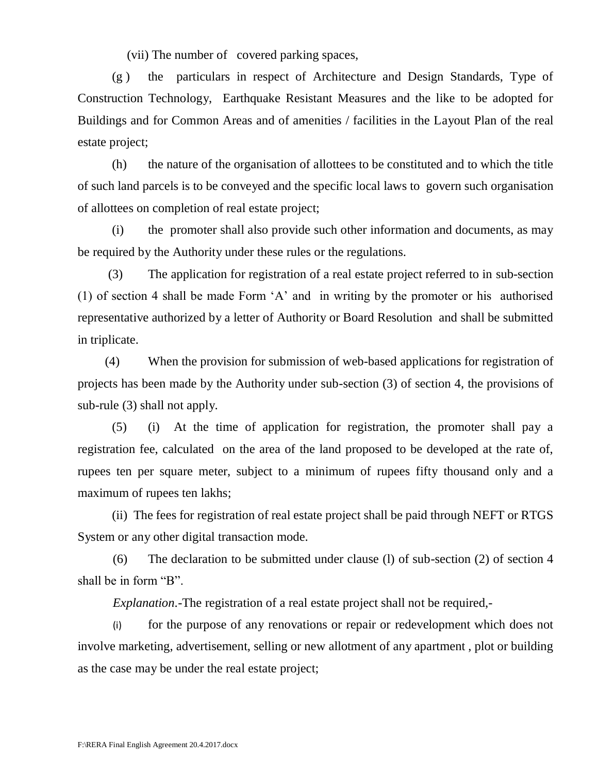(vii) The number of covered parking spaces,

(g ) the particulars in respect of Architecture and Design Standards, Type of Construction Technology, Earthquake Resistant Measures and the like to be adopted for Buildings and for Common Areas and of amenities / facilities in the Layout Plan of the real estate project;

(h) the nature of the organisation of allottees to be constituted and to which the title of such land parcels is to be conveyed and the specific local laws to govern such organisation of allottees on completion of real estate project;

(i) the promoter shall also provide such other information and documents, as may be required by the Authority under these rules or the regulations.

(3) The application for registration of a real estate project referred to in sub-section (1) of section 4 shall be made Form 'A' and in writing by the promoter or his authorised representative authorized by a letter of Authority or Board Resolution and shall be submitted in triplicate.

(4) When the provision for submission of web-based applications for registration of projects has been made by the Authority under sub-section (3) of section 4, the provisions of sub-rule (3) shall not apply.

(5) (i) At the time of application for registration, the promoter shall pay a registration fee, calculated on the area of the land proposed to be developed at the rate of, rupees ten per square meter, subject to a minimum of rupees fifty thousand only and a maximum of rupees ten lakhs;

(ii) The fees for registration of real estate project shall be paid through NEFT or RTGS System or any other digital transaction mode.

(6) The declaration to be submitted under clause (l) of sub-section (2) of section 4 shall be in form "B".

*Explanation*.-The registration of a real estate project shall not be required,-

(i) for the purpose of any renovations or repair or redevelopment which does not involve marketing, advertisement, selling or new allotment of any apartment , plot or building as the case may be under the real estate project;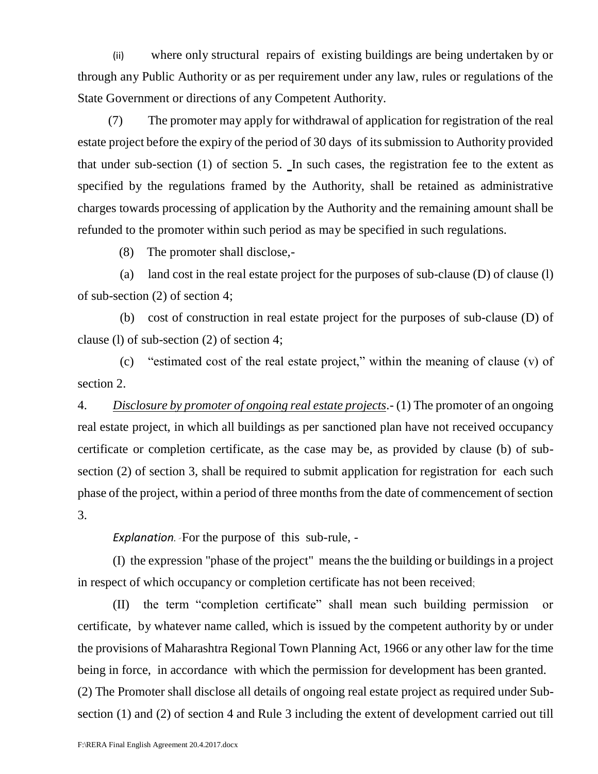(ii) where only structural repairs of existing buildings are being undertaken by or through any Public Authority or as per requirement under any law, rules or regulations of the State Government or directions of any Competent Authority.

(7) The promoter may apply for withdrawal of application for registration of the real estate project before the expiry of the period of 30 days of its submission to Authority provided that under sub-section (1) of section 5. In such cases, the registration fee to the extent as specified by the regulations framed by the Authority, shall be retained as administrative charges towards processing of application by the Authority and the remaining amount shall be refunded to the promoter within such period as may be specified in such regulations.

(8) The promoter shall disclose,-

(a) land cost in the real estate project for the purposes of sub-clause (D) of clause (l) of sub-section (2) of section 4;

(b) cost of construction in real estate project for the purposes of sub-clause (D) of clause (l) of sub-section (2) of section 4;

(c) "estimated cost of the real estate project," within the meaning of clause (v) of section 2.

4. *Disclosure by promoter of ongoing real estate projects*.- (1) The promoter of an ongoing real estate project, in which all buildings as per sanctioned plan have not received occupancy certificate or completion certificate, as the case may be, as provided by clause (b) of subsection (2) of section 3, shall be required to submit application for registration for each such phase of the project, within a period of three months from the date of commencement of section 3.

*Explanation.* -For the purpose of this sub-rule, -

(I) the expression "phase of the project" means the the building or buildings in a project in respect of which occupancy or completion certificate has not been received;

(II) the term "completion certificate" shall mean such building permission or certificate, by whatever name called, which is issued by the competent authority by or under the provisions of Maharashtra Regional Town Planning Act, 1966 or any other law for the time being in force, in accordance with which the permission for development has been granted. (2) The Promoter shall disclose all details of ongoing real estate project as required under Subsection (1) and (2) of section 4 and Rule 3 including the extent of development carried out till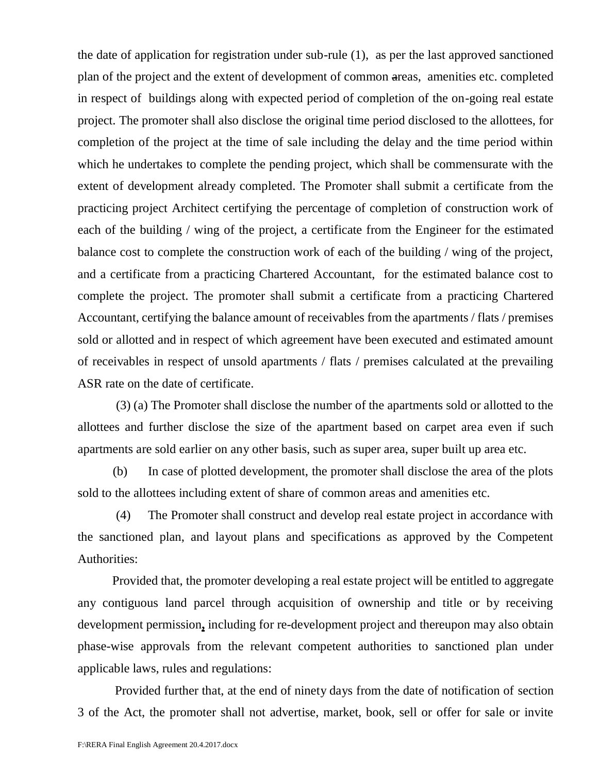the date of application for registration under sub-rule (1), as per the last approved sanctioned plan of the project and the extent of development of common areas, amenities etc. completed in respect of buildings along with expected period of completion of the on-going real estate project. The promoter shall also disclose the original time period disclosed to the allottees, for completion of the project at the time of sale including the delay and the time period within which he undertakes to complete the pending project, which shall be commensurate with the extent of development already completed. The Promoter shall submit a certificate from the practicing project Architect certifying the percentage of completion of construction work of each of the building / wing of the project, a certificate from the Engineer for the estimated balance cost to complete the construction work of each of the building / wing of the project, and a certificate from a practicing Chartered Accountant, for the estimated balance cost to complete the project. The promoter shall submit a certificate from a practicing Chartered Accountant, certifying the balance amount of receivables from the apartments / flats / premises sold or allotted and in respect of which agreement have been executed and estimated amount of receivables in respect of unsold apartments / flats / premises calculated at the prevailing ASR rate on the date of certificate.

(3) (a) The Promoter shall disclose the number of the apartments sold or allotted to the allottees and further disclose the size of the apartment based on carpet area even if such apartments are sold earlier on any other basis, such as super area, super built up area etc.

(b) In case of plotted development, the promoter shall disclose the area of the plots sold to the allottees including extent of share of common areas and amenities etc.

(4) The Promoter shall construct and develop real estate project in accordance with the sanctioned plan, and layout plans and specifications as approved by the Competent Authorities:

Provided that, the promoter developing a real estate project will be entitled to aggregate any contiguous land parcel through acquisition of ownership and title or by receiving development permission**,** including for re-development project and thereupon may also obtain phase-wise approvals from the relevant competent authorities to sanctioned plan under applicable laws, rules and regulations:

Provided further that, at the end of ninety days from the date of notification of section 3 of the Act, the promoter shall not advertise, market, book, sell or offer for sale or invite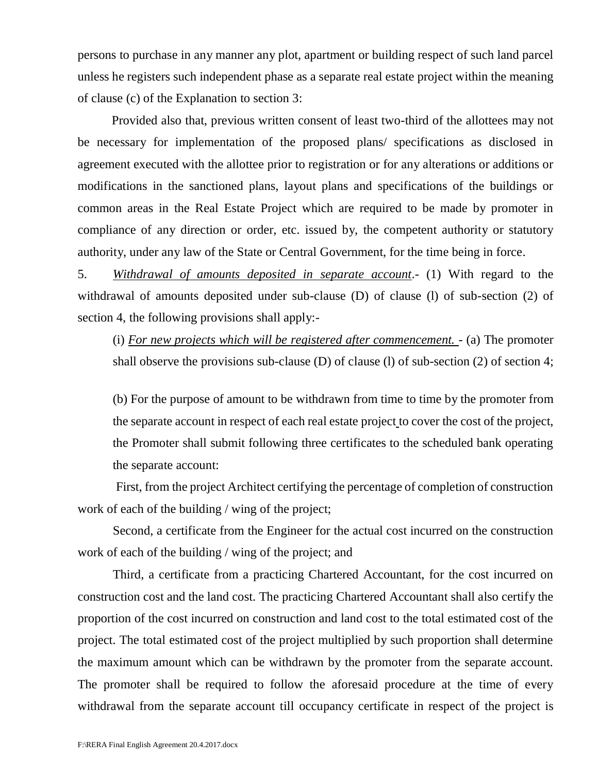persons to purchase in any manner any plot, apartment or building respect of such land parcel unless he registers such independent phase as a separate real estate project within the meaning of clause (c) of the Explanation to section 3:

Provided also that, previous written consent of least two-third of the allottees may not be necessary for implementation of the proposed plans/ specifications as disclosed in agreement executed with the allottee prior to registration or for any alterations or additions or modifications in the sanctioned plans, layout plans and specifications of the buildings or common areas in the Real Estate Project which are required to be made by promoter in compliance of any direction or order, etc. issued by, the competent authority or statutory authority, under any law of the State or Central Government, for the time being in force.

5. *Withdrawal of amounts deposited in separate account*.- (1) With regard to the withdrawal of amounts deposited under sub-clause (D) of clause (I) of sub-section (2) of section 4, the following provisions shall apply:-

(i) *For new projects which will be registered after commencement.* - (a) The promoter shall observe the provisions sub-clause (D) of clause (l) of sub-section (2) of section 4;

(b) For the purpose of amount to be withdrawn from time to time by the promoter from the separate account in respect of each real estate project to cover the cost of the project, the Promoter shall submit following three certificates to the scheduled bank operating the separate account:

First, from the project Architect certifying the percentage of completion of construction work of each of the building / wing of the project;

Second, a certificate from the Engineer for the actual cost incurred on the construction work of each of the building / wing of the project; and

Third, a certificate from a practicing Chartered Accountant, for the cost incurred on construction cost and the land cost. The practicing Chartered Accountant shall also certify the proportion of the cost incurred on construction and land cost to the total estimated cost of the project. The total estimated cost of the project multiplied by such proportion shall determine the maximum amount which can be withdrawn by the promoter from the separate account. The promoter shall be required to follow the aforesaid procedure at the time of every withdrawal from the separate account till occupancy certificate in respect of the project is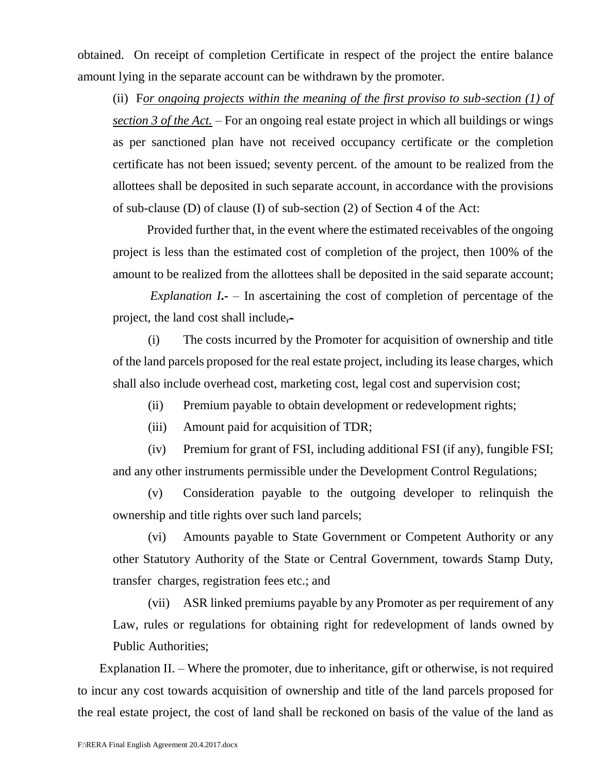obtained. On receipt of completion Certificate in respect of the project the entire balance amount lying in the separate account can be withdrawn by the promoter.

(ii) F*or ongoing projects within the meaning of the first proviso to sub-section (1) of section 3 of the Act.* – For an ongoing real estate project in which all buildings or wings as per sanctioned plan have not received occupancy certificate or the completion certificate has not been issued; seventy percent. of the amount to be realized from the allottees shall be deposited in such separate account, in accordance with the provisions of sub-clause (D) of clause (I) of sub-section (2) of Section 4 of the Act:

Provided further that, in the event where the estimated receivables of the ongoing project is less than the estimated cost of completion of the project, then 100% of the amount to be realized from the allottees shall be deposited in the said separate account;

*Explanation I***.-** *–* In ascertaining the cost of completion of percentage of the project, the land cost shall include,-

(i) The costs incurred by the Promoter for acquisition of ownership and title of the land parcels proposed for the real estate project, including its lease charges, which shall also include overhead cost, marketing cost, legal cost and supervision cost;

(ii) Premium payable to obtain development or redevelopment rights;

(iii) Amount paid for acquisition of TDR;

(iv) Premium for grant of FSI, including additional FSI (if any), fungible FSI; and any other instruments permissible under the Development Control Regulations;

(v) Consideration payable to the outgoing developer to relinquish the ownership and title rights over such land parcels;

(vi) Amounts payable to State Government or Competent Authority or any other Statutory Authority of the State or Central Government, towards Stamp Duty, transfer charges, registration fees etc.; and

(vii) ASR linked premiums payable by any Promoter as per requirement of any Law, rules or regulations for obtaining right for redevelopment of lands owned by Public Authorities;

Explanation II. – Where the promoter, due to inheritance, gift or otherwise, is not required to incur any cost towards acquisition of ownership and title of the land parcels proposed for the real estate project, the cost of land shall be reckoned on basis of the value of the land as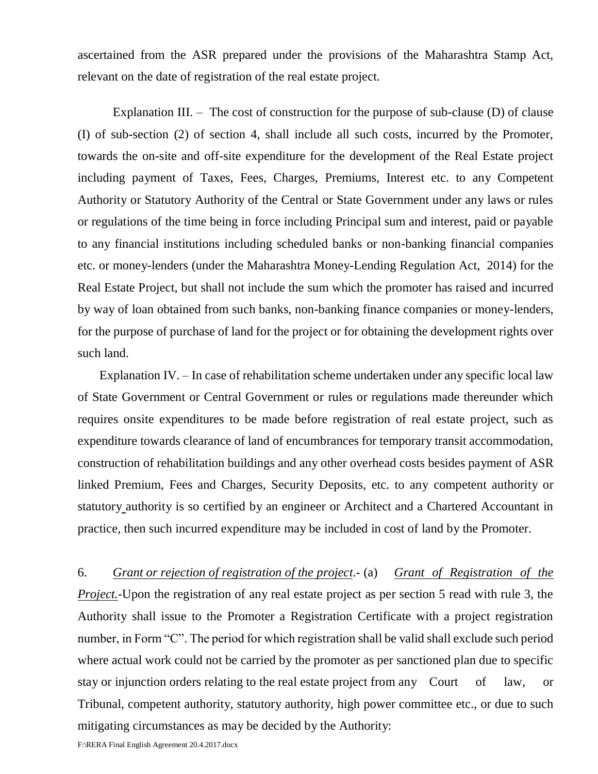ascertained from the ASR prepared under the provisions of the Maharashtra Stamp Act, relevant on the date of registration of the real estate project.

Explanation III. – The cost of construction for the purpose of sub-clause (D) of clause (I) of sub-section (2) of section 4, shall include all such costs, incurred by the Promoter, towards the on-site and off-site expenditure for the development of the Real Estate project including payment of Taxes, Fees, Charges, Premiums, Interest etc. to any Competent Authority or Statutory Authority of the Central or State Government under any laws or rules or regulations of the time being in force including Principal sum and interest, paid or payable to any financial institutions including scheduled banks or non-banking financial companies etc. or money-lenders (under the Maharashtra Money-Lending Regulation Act, 2014) for the Real Estate Project, but shall not include the sum which the promoter has raised and incurred by way of loan obtained from such banks, non-banking finance companies or money-lenders, for the purpose of purchase of land for the project or for obtaining the development rights over such land.

Explanation IV. – In case of rehabilitation scheme undertaken under any specific local law of State Government or Central Government or rules or regulations made thereunder which requires onsite expenditures to be made before registration of real estate project, such as expenditure towards clearance of land of encumbrances for temporary transit accommodation, construction of rehabilitation buildings and any other overhead costs besides payment of ASR linked Premium, Fees and Charges, Security Deposits, etc. to any competent authority or statutory authority is so certified by an engineer or Architect and a Chartered Accountant in practice, then such incurred expenditure may be included in cost of land by the Promoter.

6. *Grant or rejection of registration of the project*.- (a) *Grant of Registration of the Project*.-Upon the registration of any real estate project as per section 5 read with rule 3, the Authority shall issue to the Promoter a Registration Certificate with a project registration number, in Form "C". The period for which registration shall be valid shall exclude such period where actual work could not be carried by the promoter as per sanctioned plan due to specific stay or injunction orders relating to the real estate project from any Court of law, or Tribunal, competent authority, statutory authority, high power committee etc., or due to such mitigating circumstances as may be decided by the Authority: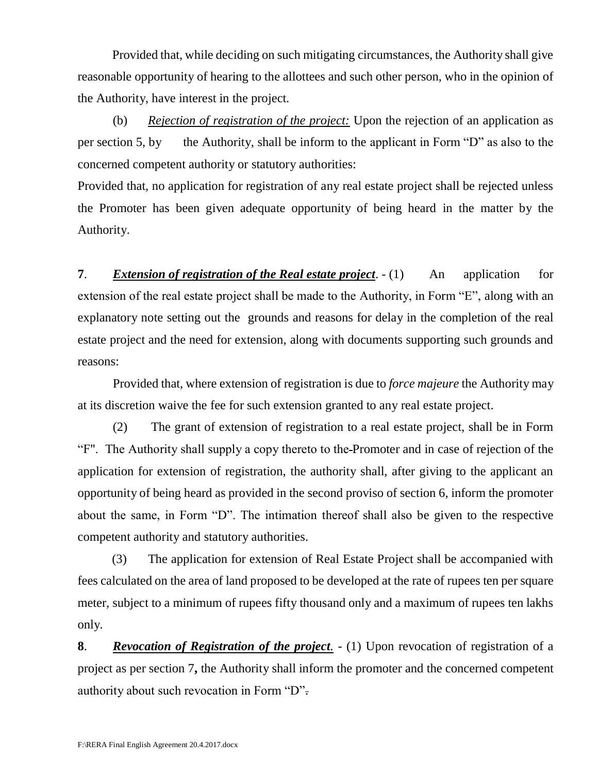Provided that, while deciding on such mitigating circumstances, the Authority shall give reasonable opportunity of hearing to the allottees and such other person, who in the opinion of the Authority, have interest in the project.

(b) *Rejection of registration of the project:* Upon the rejection of an application as per section 5, by the Authority, shall be inform to the applicant in Form "D" as also to the concerned competent authority or statutory authorities:

Provided that, no application for registration of any real estate project shall be rejected unless the Promoter has been given adequate opportunity of being heard in the matter by the Authority.

**7.** *Extension of registration of the Real estate project.*  $- (1)$  An application for extension of the real estate project shall be made to the Authority, in Form "E", along with an explanatory note setting out the grounds and reasons for delay in the completion of the real estate project and the need for extension, along with documents supporting such grounds and reasons:

Provided that, where extension of registration is due to *force majeure* the Authority may at its discretion waive the fee for such extension granted to any real estate project.

(2) The grant of extension of registration to a real estate project, shall be in Form "F". The Authority shall supply a copy thereto to the Promoter and in case of rejection of the application for extension of registration, the authority shall, after giving to the applicant an opportunity of being heard as provided in the second proviso of section 6, inform the promoter about the same, in Form "D". The intimation thereof shall also be given to the respective competent authority and statutory authorities.

(3) The application for extension of Real Estate Project shall be accompanied with fees calculated on the area of land proposed to be developed at the rate of rupees ten per square meter, subject to a minimum of rupees fifty thousand only and a maximum of rupees ten lakhs only.

**8**. *Revocation of Registration of the project.* - (1) Upon revocation of registration of a project as per section 7**,** the Authority shall inform the promoter and the concerned competent authority about such revocation in Form "D".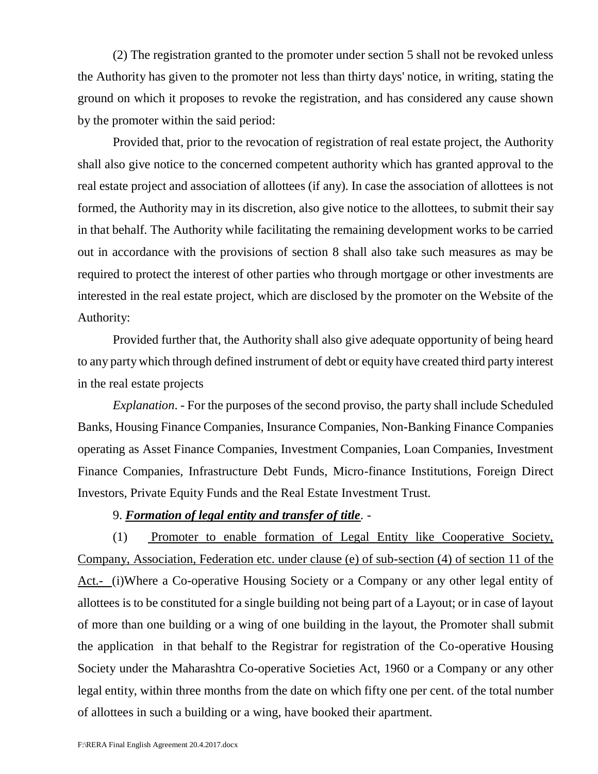(2) The registration granted to the promoter under section 5 shall not be revoked unless the Authority has given to the promoter not less than thirty days' notice, in writing, stating the ground on which it proposes to revoke the registration, and has considered any cause shown by the promoter within the said period:

Provided that, prior to the revocation of registration of real estate project, the Authority shall also give notice to the concerned competent authority which has granted approval to the real estate project and association of allottees (if any). In case the association of allottees is not formed, the Authority may in its discretion, also give notice to the allottees, to submit their say in that behalf. The Authority while facilitating the remaining development works to be carried out in accordance with the provisions of section 8 shall also take such measures as may be required to protect the interest of other parties who through mortgage or other investments are interested in the real estate project, which are disclosed by the promoter on the Website of the Authority:

Provided further that, the Authority shall also give adequate opportunity of being heard to any party which through defined instrument of debt or equity have created third party interest in the real estate projects

*Explanation.* - For the purposes of the second proviso, the party shall include Scheduled Banks, Housing Finance Companies, Insurance Companies, Non-Banking Finance Companies operating as Asset Finance Companies, Investment Companies, Loan Companies, Investment Finance Companies, Infrastructure Debt Funds, Micro-finance Institutions, Foreign Direct Investors, Private Equity Funds and the Real Estate Investment Trust.

#### 9. *Formation of legal entity and transfer of title.* -

(1) Promoter to enable formation of Legal Entity like Cooperative Society, Company, Association, Federation etc. under clause (e) of sub-section (4) of section 11 of the Act.- (i)Where a Co-operative Housing Society or a Company or any other legal entity of allottees is to be constituted for a single building not being part of a Layout; or in case of layout of more than one building or a wing of one building in the layout, the Promoter shall submit the application in that behalf to the Registrar for registration of the Co-operative Housing Society under the Maharashtra Co-operative Societies Act, 1960 or a Company or any other legal entity, within three months from the date on which fifty one per cent. of the total number of allottees in such a building or a wing, have booked their apartment.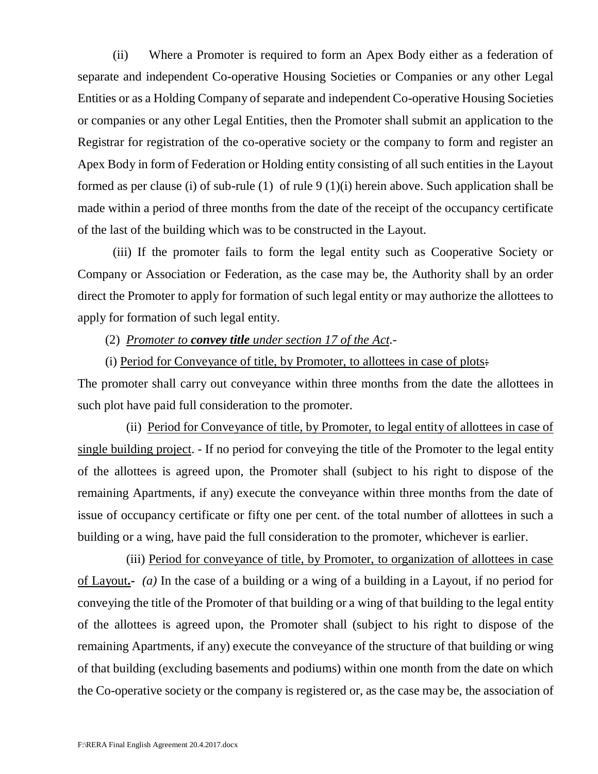(ii) Where a Promoter is required to form an Apex Body either as a federation of separate and independent Co-operative Housing Societies or Companies or any other Legal Entities or as a Holding Company of separate and independent Co-operative Housing Societies or companies or any other Legal Entities, then the Promoter shall submit an application to the Registrar for registration of the co-operative society or the company to form and register an Apex Body in form of Federation or Holding entity consisting of all such entities in the Layout formed as per clause (i) of sub-rule (1) of rule 9 (1)(i) herein above. Such application shall be made within a period of three months from the date of the receipt of the occupancy certificate of the last of the building which was to be constructed in the Layout.

(iii) If the promoter fails to form the legal entity such as Cooperative Society or Company or Association or Federation, as the case may be, the Authority shall by an order direct the Promoter to apply for formation of such legal entity or may authorize the allottees to apply for formation of such legal entity.

(2) *Promoter to convey title under section 17 of the Act*.-

(i) Period for Conveyance of title, by Promoter, to allottees in case of plots:

The promoter shall carry out conveyance within three months from the date the allottees in such plot have paid full consideration to the promoter.

(ii) Period for Conveyance of title, by Promoter, to legal entity of allottees in case of single building project. - If no period for conveying the title of the Promoter to the legal entity of the allottees is agreed upon, the Promoter shall (subject to his right to dispose of the remaining Apartments, if any) execute the conveyance within three months from the date of issue of occupancy certificate or fifty one per cent. of the total number of allottees in such a building or a wing, have paid the full consideration to the promoter, whichever is earlier.

(iii) Period for conveyance of title, by Promoter, to organization of allottees in case of Layout**.***- (a)* In the case of a building or a wing of a building in a Layout, if no period for conveying the title of the Promoter of that building or a wing of that building to the legal entity of the allottees is agreed upon, the Promoter shall (subject to his right to dispose of the remaining Apartments, if any) execute the conveyance of the structure of that building or wing of that building (excluding basements and podiums) within one month from the date on which the Co-operative society or the company is registered or, as the case may be, the association of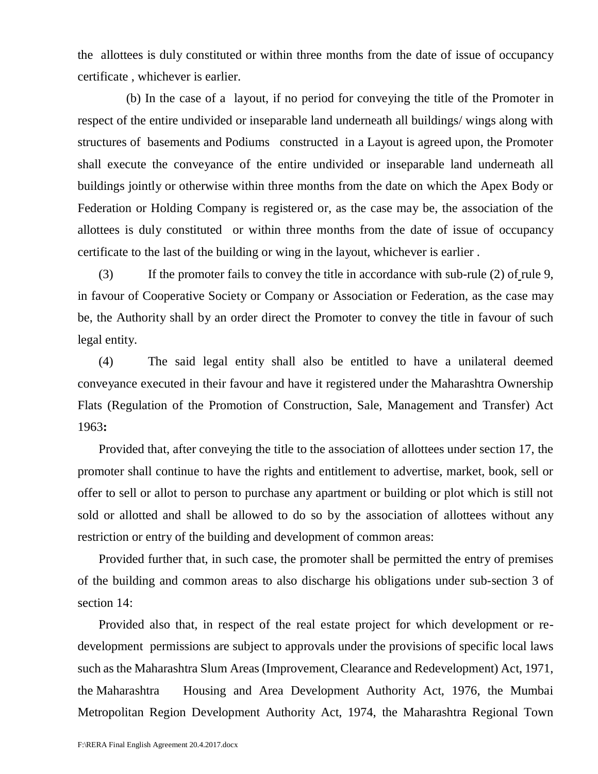the allottees is duly constituted or within three months from the date of issue of occupancy certificate , whichever is earlier.

(b) In the case of a layout, if no period for conveying the title of the Promoter in respect of the entire undivided or inseparable land underneath all buildings/ wings along with structures of basements and Podiums constructed in a Layout is agreed upon, the Promoter shall execute the conveyance of the entire undivided or inseparable land underneath all buildings jointly or otherwise within three months from the date on which the Apex Body or Federation or Holding Company is registered or, as the case may be, the association of the allottees is duly constituted or within three months from the date of issue of occupancy certificate to the last of the building or wing in the layout, whichever is earlier .

(3) If the promoter fails to convey the title in accordance with sub-rule (2) of rule 9, in favour of Cooperative Society or Company or Association or Federation, as the case may be, the Authority shall by an order direct the Promoter to convey the title in favour of such legal entity.

(4) The said legal entity shall also be entitled to have a unilateral deemed conveyance executed in their favour and have it registered under the Maharashtra Ownership Flats (Regulation of the Promotion of Construction, Sale, Management and Transfer) Act 1963**:**

Provided that, after conveying the title to the association of allottees under section 17, the promoter shall continue to have the rights and entitlement to advertise, market, book, sell or offer to sell or allot to person to purchase any apartment or building or plot which is still not sold or allotted and shall be allowed to do so by the association of allottees without any restriction or entry of the building and development of common areas:

Provided further that, in such case, the promoter shall be permitted the entry of premises of the building and common areas to also discharge his obligations under sub-section 3 of section 14:

Provided also that, in respect of the real estate project for which development or redevelopment permissions are subject to approvals under the provisions of specific local laws such as the Maharashtra Slum Areas (Improvement, Clearance and Redevelopment) Act, 1971, the Maharashtra Housing and Area Development Authority Act, 1976, the Mumbai Metropolitan Region Development Authority Act, 1974, the Maharashtra Regional Town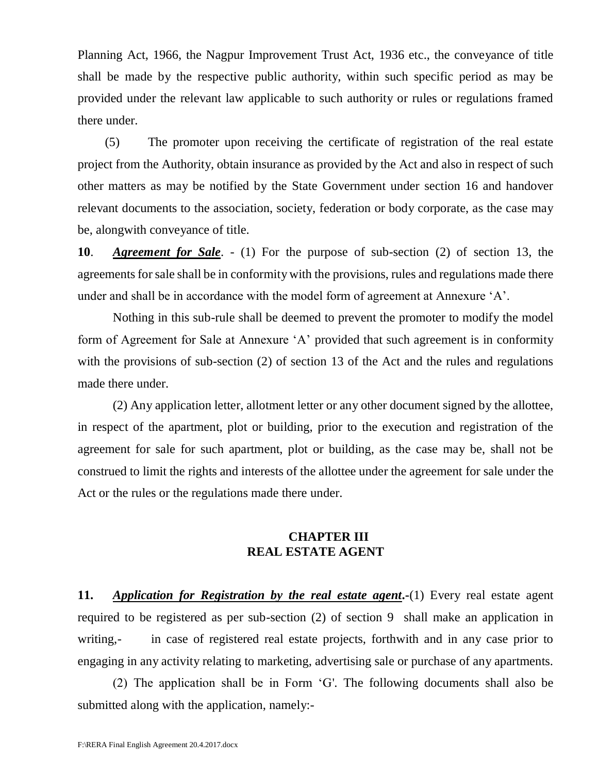Planning Act, 1966, the Nagpur Improvement Trust Act, 1936 etc., the conveyance of title shall be made by the respective public authority, within such specific period as may be provided under the relevant law applicable to such authority or rules or regulations framed there under.

(5) The promoter upon receiving the certificate of registration of the real estate project from the Authority, obtain insurance as provided by the Act and also in respect of such other matters as may be notified by the State Government under section 16 and handover relevant documents to the association, society, federation or body corporate, as the case may be, alongwith conveyance of title.

**10**. *Agreement for Sale*. - (1) For the purpose of sub-section (2) of section 13, the agreements for sale shall be in conformity with the provisions, rules and regulations made there under and shall be in accordance with the model form of agreement at Annexure 'A'.

Nothing in this sub-rule shall be deemed to prevent the promoter to modify the model form of Agreement for Sale at Annexure 'A' provided that such agreement is in conformity with the provisions of sub-section (2) of section 13 of the Act and the rules and regulations made there under.

(2) Any application letter, allotment letter or any other document signed by the allottee, in respect of the apartment, plot or building, prior to the execution and registration of the agreement for sale for such apartment, plot or building, as the case may be, shall not be construed to limit the rights and interests of the allottee under the agreement for sale under the Act or the rules or the regulations made there under.

### **CHAPTER III REAL ESTATE AGENT**

**11.** *Application for Registration by the real estate agent*.-(1) Every real estate agent required to be registered as per sub-section (2) of section 9 shall make an application in writing,- in case of registered real estate projects, forthwith and in any case prior to engaging in any activity relating to marketing, advertising sale or purchase of any apartments.

(2) The application shall be in Form 'G'. The following documents shall also be submitted along with the application, namely:-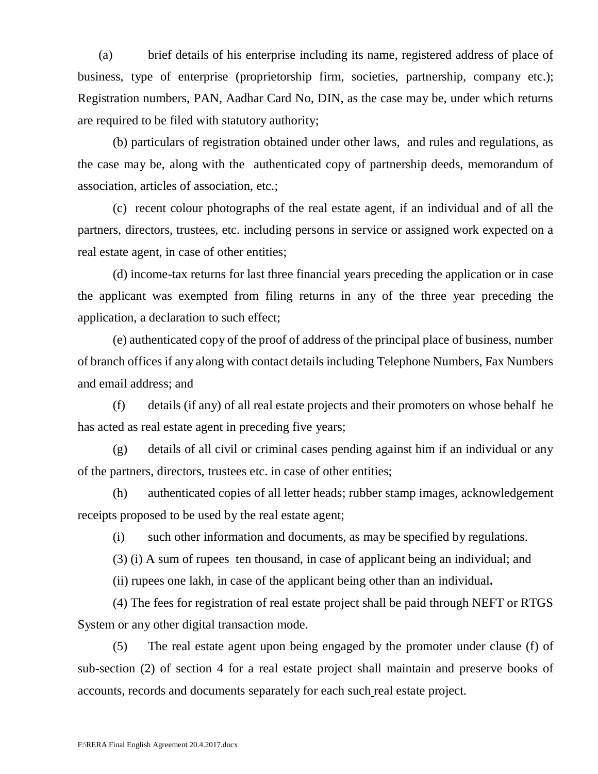(a) brief details of his enterprise including its name, registered address of place of business, type of enterprise (proprietorship firm, societies, partnership, company etc.); Registration numbers, PAN, Aadhar Card No, DIN, as the case may be, under which returns are required to be filed with statutory authority;

(b) particulars of registration obtained under other laws, and rules and regulations, as the case may be, along with the authenticated copy of partnership deeds, memorandum of association, articles of association, etc.;

(c) recent colour photographs of the real estate agent, if an individual and of all the partners, directors, trustees, etc. including persons in service or assigned work expected on a real estate agent, in case of other entities;

(d) income-tax returns for last three financial years preceding the application or in case the applicant was exempted from filing returns in any of the three year preceding the application, a declaration to such effect;

(e) authenticated copy of the proof of address of the principal place of business, number of branch offices if any along with contact details including Telephone Numbers, Fax Numbers and email address; and

(f) details (if any) of all real estate projects and their promoters on whose behalf he has acted as real estate agent in preceding five years;

(g) details of all civil or criminal cases pending against him if an individual or any of the partners, directors, trustees etc. in case of other entities;

(h) authenticated copies of all letter heads; rubber stamp images, acknowledgement receipts proposed to be used by the real estate agent;

(i) such other information and documents, as may be specified by regulations.

(3) (i) A sum of rupees ten thousand, in case of applicant being an individual; and

(ii) rupees one lakh, in case of the applicant being other than an individual**.**

(4) The fees for registration of real estate project shall be paid through NEFT or RTGS System or any other digital transaction mode.

(5) The real estate agent upon being engaged by the promoter under clause (f) of sub-section (2) of section 4 for a real estate project shall maintain and preserve books of accounts, records and documents separately for each such real estate project.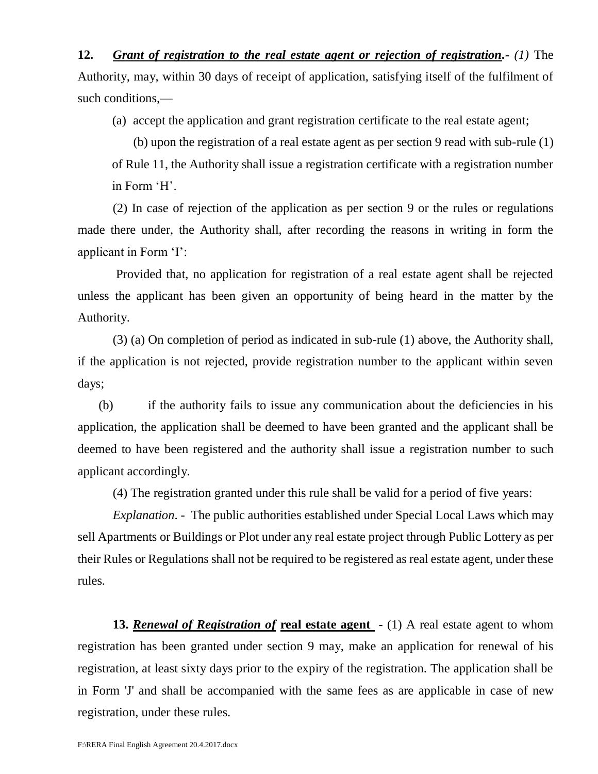**12.** *Grant of registration to the real estate agent or rejection of registration.- (1)* The Authority, may, within 30 days of receipt of application, satisfying itself of the fulfilment of such conditions,—

(a) accept the application and grant registration certificate to the real estate agent;

(b) upon the registration of a real estate agent as per section 9 read with sub-rule (1) of Rule 11, the Authority shall issue a registration certificate with a registration number in Form 'H'.

(2) In case of rejection of the application as per section 9 or the rules or regulations made there under, the Authority shall, after recording the reasons in writing in form the applicant in Form 'I':

Provided that, no application for registration of a real estate agent shall be rejected unless the applicant has been given an opportunity of being heard in the matter by the Authority.

(3) (a) On completion of period as indicated in sub-rule (1) above, the Authority shall, if the application is not rejected, provide registration number to the applicant within seven days;

(b) if the authority fails to issue any communication about the deficiencies in his application, the application shall be deemed to have been granted and the applicant shall be deemed to have been registered and the authority shall issue a registration number to such applicant accordingly.

(4) The registration granted under this rule shall be valid for a period of five years:

*Explanation*. - The public authorities established under Special Local Laws which may sell Apartments or Buildings or Plot under any real estate project through Public Lottery as per their Rules or Regulations shall not be required to be registered as real estate agent, under these rules.

**13.** *Renewal of Registration of* **real estate agent** - (1) A real estate agent to whom registration has been granted under section 9 may, make an application for renewal of his registration, at least sixty days prior to the expiry of the registration. The application shall be in Form 'J' and shall be accompanied with the same fees as are applicable in case of new registration, under these rules.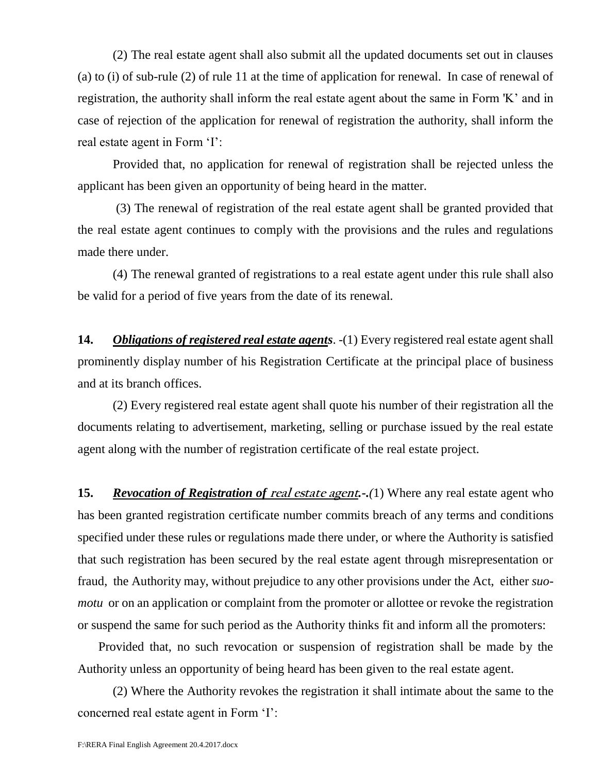(2) The real estate agent shall also submit all the updated documents set out in clauses (a) to (i) of sub-rule (2) of rule 11 at the time of application for renewal. In case of renewal of registration, the authority shall inform the real estate agent about the same in Form 'K' and in case of rejection of the application for renewal of registration the authority, shall inform the real estate agent in Form 'I':

Provided that, no application for renewal of registration shall be rejected unless the applicant has been given an opportunity of being heard in the matter.

(3) The renewal of registration of the real estate agent shall be granted provided that the real estate agent continues to comply with the provisions and the rules and regulations made there under.

(4) The renewal granted of registrations to a real estate agent under this rule shall also be valid for a period of five years from the date of its renewal.

**14.** *Obligations of registered real estate agents*. -(1) Every registered real estate agent shall prominently display number of his Registration Certificate at the principal place of business and at its branch offices.

(2) Every registered real estate agent shall quote his number of their registration all the documents relating to advertisement, marketing, selling or purchase issued by the real estate agent along with the number of registration certificate of the real estate project.

**15.** *Revocation of Registration of* **real estate agent***.-.(*1) Where any real estate agent who has been granted registration certificate number commits breach of any terms and conditions specified under these rules or regulations made there under, or where the Authority is satisfied that such registration has been secured by the real estate agent through misrepresentation or fraud, the Authority may, without prejudice to any other provisions under the Act, either *suomotu* or on an application or complaint from the promoter or allottee or revoke the registration or suspend the same for such period as the Authority thinks fit and inform all the promoters:

Provided that, no such revocation or suspension of registration shall be made by the Authority unless an opportunity of being heard has been given to the real estate agent.

(2) Where the Authority revokes the registration it shall intimate about the same to the concerned real estate agent in Form 'I':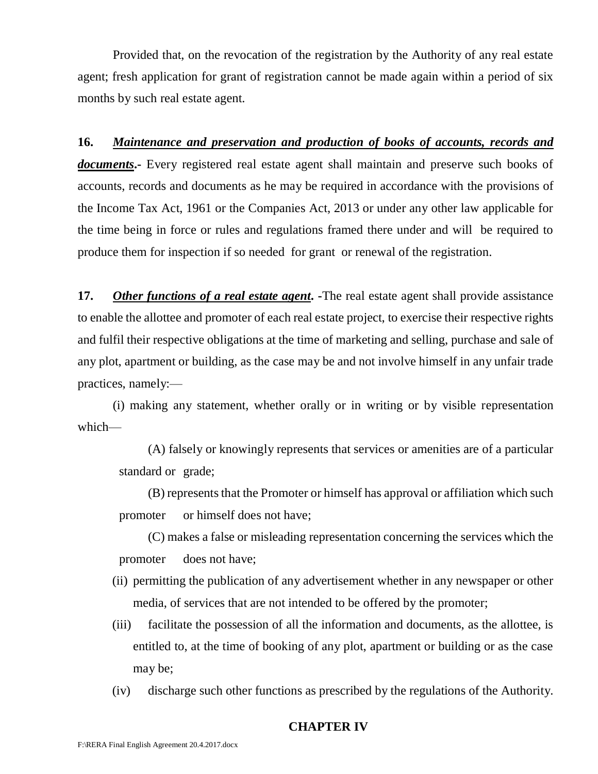Provided that, on the revocation of the registration by the Authority of any real estate agent; fresh application for grant of registration cannot be made again within a period of six months by such real estate agent.

**16.** *Maintenance and preservation and production of books of accounts, records and documents***.-** Every registered real estate agent shall maintain and preserve such books of accounts, records and documents as he may be required in accordance with the provisions of the Income Tax Act, 1961 or the Companies Act, 2013 or under any other law applicable for the time being in force or rules and regulations framed there under and will be required to produce them for inspection if so needed for grant or renewal of the registration.

**17.** *Other functions of a real estate agent***. -**The real estate agent shall provide assistance to enable the allottee and promoter of each real estate project, to exercise their respective rights and fulfil their respective obligations at the time of marketing and selling, purchase and sale of any plot, apartment or building, as the case may be and not involve himself in any unfair trade practices, namely:—

(i) making any statement, whether orally or in writing or by visible representation which—

(A) falsely or knowingly represents that services or amenities are of a particular standard or grade;

(B) represents that the Promoter or himself has approval or affiliation which such promoter or himself does not have;

(C) makes a false or misleading representation concerning the services which the promoter does not have;

- (ii) permitting the publication of any advertisement whether in any newspaper or other media, of services that are not intended to be offered by the promoter;
- (iii) facilitate the possession of all the information and documents, as the allottee, is entitled to, at the time of booking of any plot, apartment or building or as the case may be;
- (iv) discharge such other functions as prescribed by the regulations of the Authority.

## **CHAPTER IV**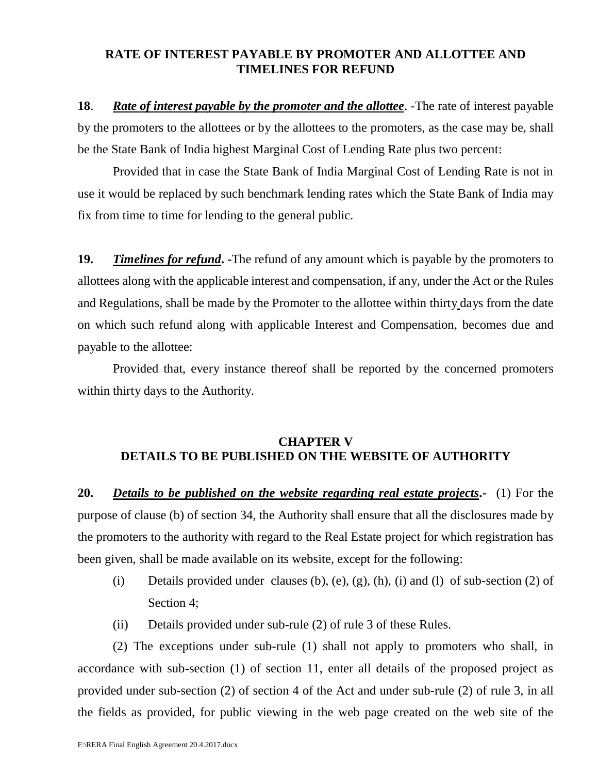## **RATE OF INTEREST PAYABLE BY PROMOTER AND ALLOTTEE AND TIMELINES FOR REFUND**

**18**. *Rate of interest payable by the promoter and the allottee*. -The rate of interest payable by the promoters to the allottees or by the allottees to the promoters, as the case may be, shall be the State Bank of India highest Marginal Cost of Lending Rate plus two percent:

Provided that in case the State Bank of India Marginal Cost of Lending Rate is not in use it would be replaced by such benchmark lending rates which the State Bank of India may fix from time to time for lending to the general public.

**19.** *Timelines for refund***. -**The refund of any amount which is payable by the promoters to allottees along with the applicable interest and compensation, if any, under the Act or the Rules and Regulations, shall be made by the Promoter to the allottee within thirty days from the date on which such refund along with applicable Interest and Compensation, becomes due and payable to the allottee:

Provided that, every instance thereof shall be reported by the concerned promoters within thirty days to the Authority.

## **CHAPTER V DETAILS TO BE PUBLISHED ON THE WEBSITE OF AUTHORITY**

**20.** *Details to be published on the website regarding real estate projects***.-** (1) For the purpose of clause (b) of section 34, the Authority shall ensure that all the disclosures made by the promoters to the authority with regard to the Real Estate project for which registration has been given, shall be made available on its website, except for the following:

- (i) Details provided under clauses (b), (e), (g), (h), (i) and (l) of sub-section  $(2)$  of Section 4;
- (ii) Details provided under sub-rule (2) of rule 3 of these Rules.

(2) The exceptions under sub-rule (1) shall not apply to promoters who shall, in accordance with sub-section (1) of section 11, enter all details of the proposed project as provided under sub-section (2) of section 4 of the Act and under sub-rule (2) of rule 3, in all the fields as provided, for public viewing in the web page created on the web site of the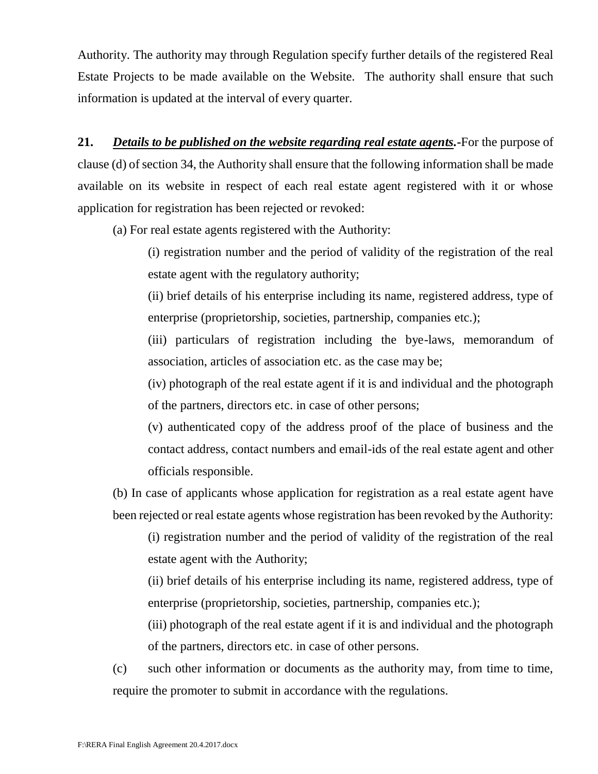Authority. The authority may through Regulation specify further details of the registered Real Estate Projects to be made available on the Website. The authority shall ensure that such information is updated at the interval of every quarter.

**21.** *Details to be published on the website regarding real estate agents.***-**For the purpose of clause (d) of section 34, the Authority shall ensure that the following information shall be made available on its website in respect of each real estate agent registered with it or whose application for registration has been rejected or revoked:

(a) For real estate agents registered with the Authority:

(i) registration number and the period of validity of the registration of the real estate agent with the regulatory authority;

(ii) brief details of his enterprise including its name, registered address, type of enterprise (proprietorship, societies, partnership, companies etc.);

(iii) particulars of registration including the bye-laws, memorandum of association, articles of association etc. as the case may be;

(iv) photograph of the real estate agent if it is and individual and the photograph of the partners, directors etc. in case of other persons;

(v) authenticated copy of the address proof of the place of business and the contact address, contact numbers and email-ids of the real estate agent and other officials responsible.

(b) In case of applicants whose application for registration as a real estate agent have been rejected or real estate agents whose registration has been revoked by the Authority:

(i) registration number and the period of validity of the registration of the real estate agent with the Authority;

(ii) brief details of his enterprise including its name, registered address, type of enterprise (proprietorship, societies, partnership, companies etc.);

(iii) photograph of the real estate agent if it is and individual and the photograph of the partners, directors etc. in case of other persons.

(c) such other information or documents as the authority may, from time to time, require the promoter to submit in accordance with the regulations.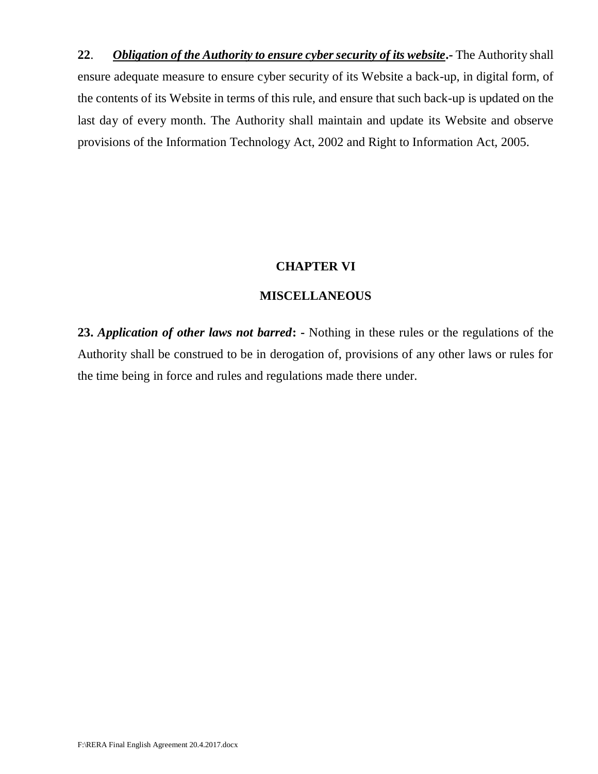**22**. *Obligation of the Authority to ensure cyber security of its website***.-** The Authority shall ensure adequate measure to ensure cyber security of its Website a back-up, in digital form, of the contents of its Website in terms of this rule, and ensure that such back-up is updated on the last day of every month. The Authority shall maintain and update its Website and observe provisions of the Information Technology Act, 2002 and Right to Information Act, 2005.

## **CHAPTER VI**

## **MISCELLANEOUS**

**23.** *Application of other laws not barred***: -** Nothing in these rules or the regulations of the Authority shall be construed to be in derogation of, provisions of any other laws or rules for the time being in force and rules and regulations made there under.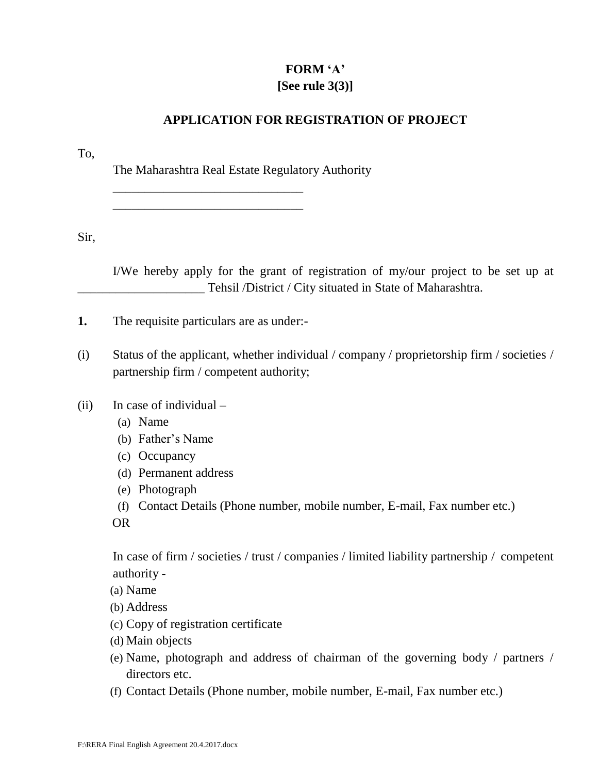# **FORM 'A' [See rule 3(3)]**

## **APPLICATION FOR REGISTRATION OF PROJECT**

To,

The Maharashtra Real Estate Regulatory Authority

\_\_\_\_\_\_\_\_\_\_\_\_\_\_\_\_\_\_\_\_\_\_\_\_\_\_\_\_\_\_ \_\_\_\_\_\_\_\_\_\_\_\_\_\_\_\_\_\_\_\_\_\_\_\_\_\_\_\_\_\_

Sir,

I/We hereby apply for the grant of registration of my/our project to be set up at \_\_\_\_\_\_\_\_\_\_\_\_\_\_\_\_\_\_\_\_ Tehsil /District / City situated in State of Maharashtra.

**1.** The requisite particulars are as under:-

- (i) Status of the applicant, whether individual / company / proprietorship firm / societies / partnership firm / competent authority;
- (ii) In case of individual
	- (a) Name
	- (b) Father's Name
	- (c) Occupancy
	- (d) Permanent address
	- (e) Photograph
	- (f) Contact Details (Phone number, mobile number, E-mail, Fax number etc.)
	- OR

In case of firm / societies / trust / companies / limited liability partnership / competent authority -

- (a) Name
- (b) Address
- (c) Copy of registration certificate
- (d) Main objects
- (e) Name, photograph and address of chairman of the governing body / partners / directors etc.
- (f) Contact Details (Phone number, mobile number, E-mail, Fax number etc.)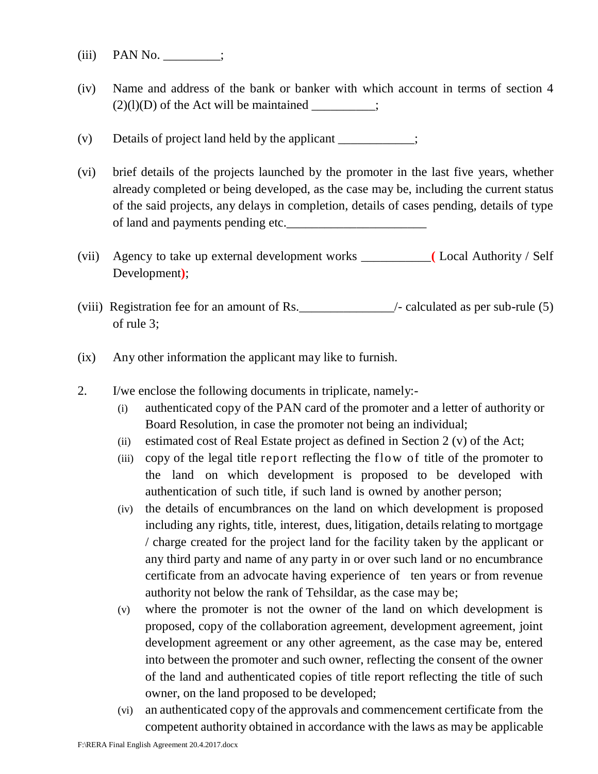- (iii) PAN No. \_\_\_\_\_\_\_;
- (iv) Name and address of the bank or banker with which account in terms of section 4  $(2)(1)(D)$  of the Act will be maintained \_\_\_\_\_\_\_;
- $(v)$  Details of project land held by the applicant  $\frac{1}{\sqrt{2}}$
- (vi) brief details of the projects launched by the promoter in the last five years, whether already completed or being developed, as the case may be, including the current status of the said projects, any delays in completion, details of cases pending, details of type of land and payments pending etc.
- (vii) Agency to take up external development works \_\_\_\_\_\_\_\_\_\_\_**(** Local Authority / Self Development**)**;
- (viii) Registration fee for an amount of Rs.\_\_\_\_\_\_\_\_\_\_\_\_\_\_\_/- calculated as per sub-rule (5) of rule 3;
- (ix) Any other information the applicant may like to furnish.
- 2. I/we enclose the following documents in triplicate, namely:-
	- (i) authenticated copy of the PAN card of the promoter and a letter of authority or Board Resolution, in case the promoter not being an individual;
	- (ii) estimated cost of Real Estate project as defined in Section 2 (v) of the Act;
	- (iii) copy of the legal title report reflecting the flow of title of the promoter to the land on which development is proposed to be developed with authentication of such title, if such land is owned by another person;
	- (iv) the details of encumbrances on the land on which development is proposed including any rights, title, interest, dues, litigation, details relating to mortgage / charge created for the project land for the facility taken by the applicant or any third party and name of any party in or over such land or no encumbrance certificate from an advocate having experience of ten years or from revenue authority not below the rank of Tehsildar, as the case may be;
	- (v) where the promoter is not the owner of the land on which development is proposed, copy of the collaboration agreement, development agreement, joint development agreement or any other agreement, as the case may be, entered into between the promoter and such owner, reflecting the consent of the owner of the land and authenticated copies of title report reflecting the title of such owner, on the land proposed to be developed;
	- (vi) an authenticated copy of the approvals and commencement certificate from the competent authority obtained in accordance with the laws as may be applicable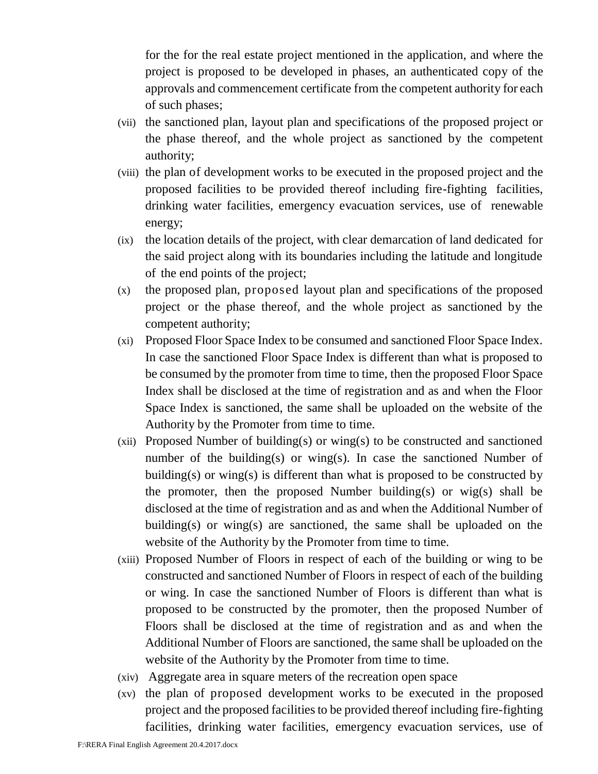for the for the real estate project mentioned in the application, and where the project is proposed to be developed in phases, an authenticated copy of the approvals and commencement certificate from the competent authority for each of such phases;

- (vii) the sanctioned plan, layout plan and specifications of the proposed project or the phase thereof, and the whole project as sanctioned by the competent authority;
- (viii) the plan of development works to be executed in the proposed project and the proposed facilities to be provided thereof including fire-fighting facilities, drinking water facilities, emergency evacuation services, use of renewable energy;
- (ix) the location details of the project, with clear demarcation of land dedicated for the said project along with its boundaries including the latitude and longitude of the end points of the project;
- (x) the proposed plan, proposed layout plan and specifications of the proposed project or the phase thereof, and the whole project as sanctioned by the competent authority;
- (xi) Proposed Floor Space Index to be consumed and sanctioned Floor Space Index. In case the sanctioned Floor Space Index is different than what is proposed to be consumed by the promoter from time to time, then the proposed Floor Space Index shall be disclosed at the time of registration and as and when the Floor Space Index is sanctioned, the same shall be uploaded on the website of the Authority by the Promoter from time to time.
- (xii) Proposed Number of building(s) or wing(s) to be constructed and sanctioned number of the building(s) or wing(s). In case the sanctioned Number of building(s) or wing(s) is different than what is proposed to be constructed by the promoter, then the proposed Number building(s) or wig(s) shall be disclosed at the time of registration and as and when the Additional Number of building(s) or wing(s) are sanctioned, the same shall be uploaded on the website of the Authority by the Promoter from time to time.
- (xiii) Proposed Number of Floors in respect of each of the building or wing to be constructed and sanctioned Number of Floors in respect of each of the building or wing. In case the sanctioned Number of Floors is different than what is proposed to be constructed by the promoter, then the proposed Number of Floors shall be disclosed at the time of registration and as and when the Additional Number of Floors are sanctioned, the same shall be uploaded on the website of the Authority by the Promoter from time to time.
- (xiv) Aggregate area in square meters of the recreation open space
- (xv) the plan of proposed development works to be executed in the proposed project and the proposed facilities to be provided thereof including fire-fighting facilities, drinking water facilities, emergency evacuation services, use of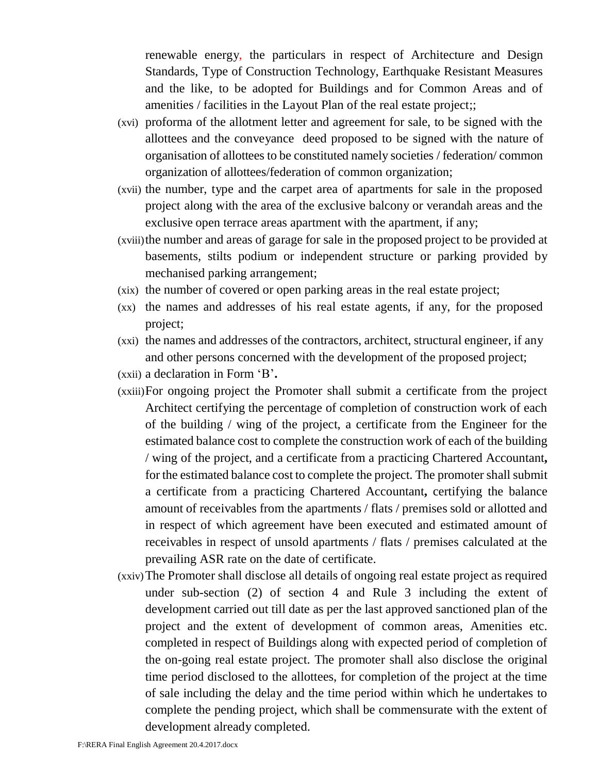renewable energy, the particulars in respect of Architecture and Design Standards, Type of Construction Technology, Earthquake Resistant Measures and the like, to be adopted for Buildings and for Common Areas and of amenities / facilities in the Layout Plan of the real estate project;;

- (xvi) proforma of the allotment letter and agreement for sale, to be signed with the allottees and the conveyance deed proposed to be signed with the nature of organisation of allottees to be constituted namely societies / federation/ common organization of allottees/federation of common organization;
- (xvii) the number, type and the carpet area of apartments for sale in the proposed project along with the area of the exclusive balcony or verandah areas and the exclusive open terrace areas apartment with the apartment, if any;
- (xviii)the number and areas of garage for sale in the proposed project to be provided at basements, stilts podium or independent structure or parking provided by mechanised parking arrangement;
- (xix) the number of covered or open parking areas in the real estate project;
- (xx) the names and addresses of his real estate agents, if any, for the proposed project;
- (xxi) the names and addresses of the contractors, architect, structural engineer, if any and other persons concerned with the development of the proposed project;
- (xxii) a declaration in Form 'B'**.**
- (xxiii)For ongoing project the Promoter shall submit a certificate from the project Architect certifying the percentage of completion of construction work of each of the building / wing of the project, a certificate from the Engineer for the estimated balance cost to complete the construction work of each of the building / wing of the project, and a certificate from a practicing Chartered Accountant**,**  for the estimated balance cost to complete the project. The promoter shall submit a certificate from a practicing Chartered Accountant**,** certifying the balance amount of receivables from the apartments / flats / premises sold or allotted and in respect of which agreement have been executed and estimated amount of receivables in respect of unsold apartments / flats / premises calculated at the prevailing ASR rate on the date of certificate.
- (xxiv)The Promoter shall disclose all details of ongoing real estate project as required under sub-section (2) of section 4 and Rule 3 including the extent of development carried out till date as per the last approved sanctioned plan of the project and the extent of development of common areas, Amenities etc. completed in respect of Buildings along with expected period of completion of the on-going real estate project. The promoter shall also disclose the original time period disclosed to the allottees, for completion of the project at the time of sale including the delay and the time period within which he undertakes to complete the pending project, which shall be commensurate with the extent of development already completed.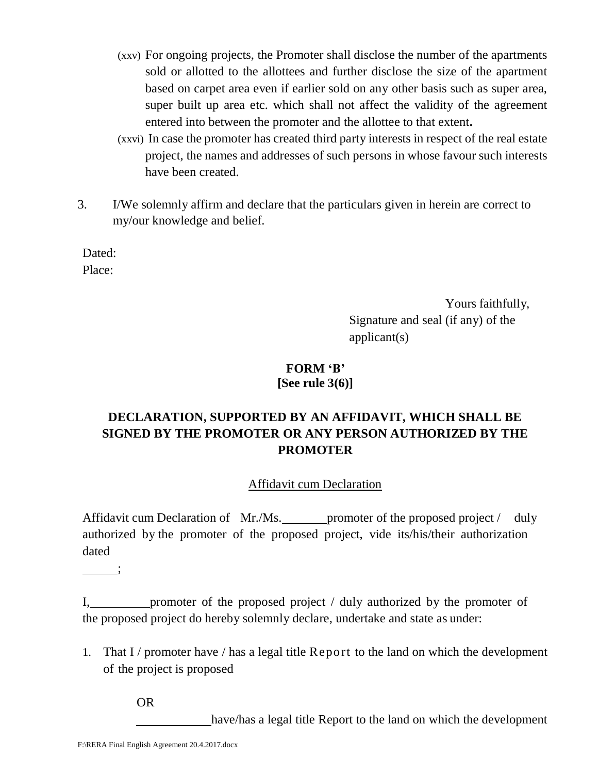- (xxv) For ongoing projects, the Promoter shall disclose the number of the apartments sold or allotted to the allottees and further disclose the size of the apartment based on carpet area even if earlier sold on any other basis such as super area, super built up area etc. which shall not affect the validity of the agreement entered into between the promoter and the allottee to that extent**.**
- (xxvi) In case the promoter has created third party interests in respect of the real estate project, the names and addresses of such persons in whose favour such interests have been created.
- 3. I/We solemnly affirm and declare that the particulars given in herein are correct to my/our knowledge and belief.

Dated:

Place:

Yours faithfully, Signature and seal (if any) of the applicant(s)

# **FORM 'B' [See rule 3(6)]**

# **DECLARATION, SUPPORTED BY AN AFFIDAVIT, WHICH SHALL BE SIGNED BY THE PROMOTER OR ANY PERSON AUTHORIZED BY THE PROMOTER**

# Affidavit cum Declaration

Affidavit cum Declaration of Mr./Ms. promoter of the proposed project / duly authorized by the promoter of the proposed project, vide its/his/their authorization dated

;

I, promoter of the proposed project / duly authorized by the promoter of the proposed project do hereby solemnly declare, undertake and state as under:

1. That I / promoter have  $\ell$  has a legal title Report to the land on which the development of the project is proposed

OR

have/has a legal title Report to the land on which the development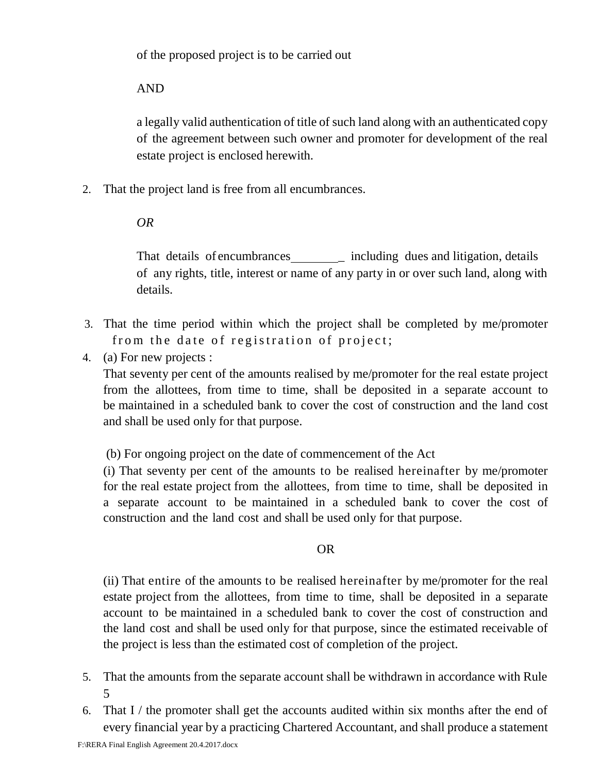of the proposed project is to be carried out

# AND

a legally valid authentication of title of such land along with an authenticated copy of the agreement between such owner and promoter for development of the real estate project is enclosed herewith.

2. That the project land is free from all encumbrances.

*OR*

That details of encumbrances \_ including dues and litigation, details of any rights, title, interest or name of any party in or over such land, along with details.

- 3. That the time period within which the project shall be completed by me/promoter from the date of registration of project;
- 4. (a) For new projects :

That seventy per cent of the amounts realised by me/promoter for the real estate project from the allottees, from time to time, shall be deposited in a separate account to be maintained in a scheduled bank to cover the cost of construction and the land cost and shall be used only for that purpose.

(b) For ongoing project on the date of commencement of the Act

(i) That seventy per cent of the amounts to be realised hereinafter by me/promoter for the real estate project from the allottees, from time to time, shall be deposited in a separate account to be maintained in a scheduled bank to cover the cost of construction and the land cost and shall be used only for that purpose.

## OR

(ii) That entire of the amounts to be realised hereinafter by me/promoter for the real estate project from the allottees, from time to time, shall be deposited in a separate account to be maintained in a scheduled bank to cover the cost of construction and the land cost and shall be used only for that purpose, since the estimated receivable of the project is less than the estimated cost of completion of the project.

- 5. That the amounts from the separate account shall be withdrawn in accordance with Rule 5
- 6. That  $I /$  the promoter shall get the accounts audited within six months after the end of every financial year by a practicing Chartered Accountant, and shall produce a statement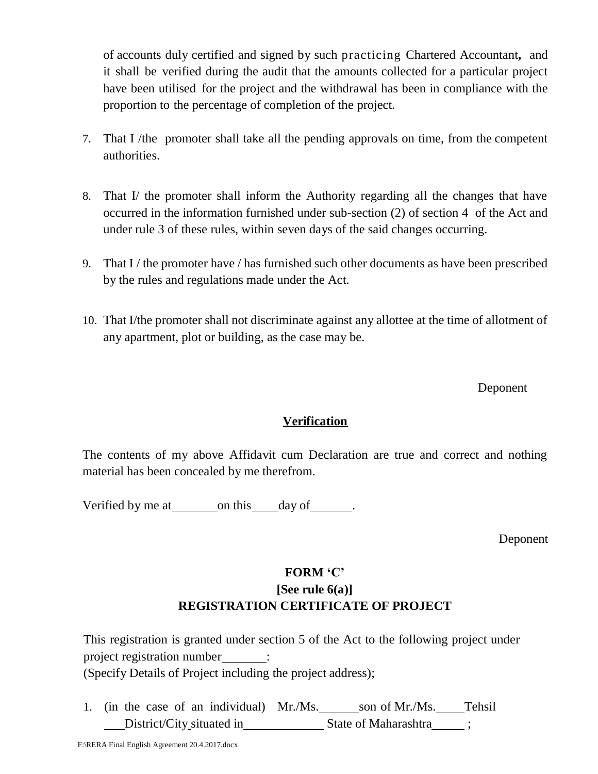of accounts duly certified and signed by such practicing Chartered Accountant**,** and it shall be verified during the audit that the amounts collected for a particular project have been utilised for the project and the withdrawal has been in compliance with the proportion to the percentage of completion of the project.

- 7. That I /the promoter shall take all the pending approvals on time, from the competent authorities.
- 8. That I/ the promoter shall inform the Authority regarding all the changes that have occurred in the information furnished under sub-section (2) of section 4 of the Act and under rule 3 of these rules, within seven days of the said changes occurring.
- 9. That I / the promoter have / has furnished such other documents as have been prescribed by the rules and regulations made under the Act.
- 10. That I/the promoter shall not discriminate against any allottee at the time of allotment of any apartment, plot or building, as the case may be.

Deponent

# **Verification**

The contents of my above Affidavit cum Declaration are true and correct and nothing material has been concealed by me therefrom.

Verified by me at on this day of .

Deponent

# **FORM 'C' [See rule 6(a)] REGISTRATION CERTIFICATE OF PROJECT**

This registration is granted under section 5 of the Act to the following project under project registration number : (Specify Details of Project including the project address);

1. (in the case of an individual) Mr./Ms. son of Mr./Ms. Tehsil District/City situated in State of Maharashtra ;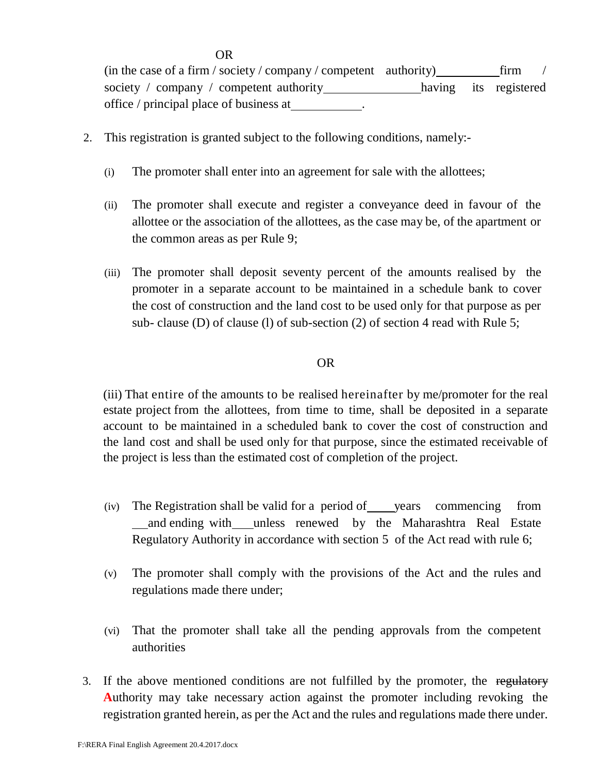OR

(in the case of a firm / society / company / competent authority) firm / society / company / competent authority having its registered office / principal place of business at .

- 2. This registration is granted subject to the following conditions, namely:-
	- (i) The promoter shall enter into an agreement for sale with the allottees;
	- (ii) The promoter shall execute and register a conveyance deed in favour of the allottee or the association of the allottees, as the case may be, of the apartment or the common areas as per Rule 9;
	- (iii) The promoter shall deposit seventy percent of the amounts realised by the promoter in a separate account to be maintained in a schedule bank to cover the cost of construction and the land cost to be used only for that purpose as per sub- clause (D) of clause (l) of sub-section (2) of section 4 read with Rule 5;

## OR

(iii) That entire of the amounts to be realised hereinafter by me/promoter for the real estate project from the allottees, from time to time, shall be deposited in a separate account to be maintained in a scheduled bank to cover the cost of construction and the land cost and shall be used only for that purpose, since the estimated receivable of the project is less than the estimated cost of completion of the project.

- (iv) The Registration shall be valid for a period of years commencing from and ending with unless renewed by the Maharashtra Real Estate Regulatory Authority in accordance with section 5 of the Act read with rule 6;
- (v) The promoter shall comply with the provisions of the Act and the rules and regulations made there under;
- (vi) That the promoter shall take all the pending approvals from the competent authorities
- 3. If the above mentioned conditions are not fulfilled by the promoter, the regulatory **A**uthority may take necessary action against the promoter including revoking the registration granted herein, as per the Act and the rules and regulations made there under.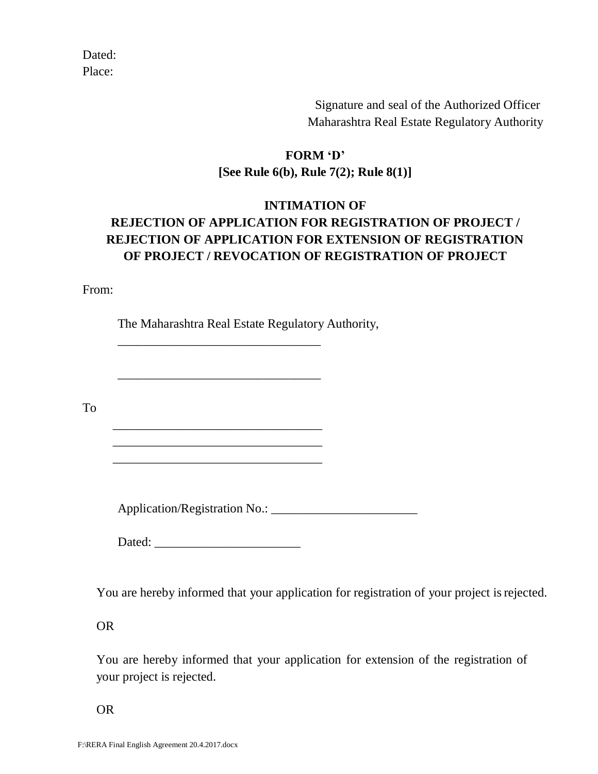Dated: Place:

> Signature and seal of the Authorized Officer Maharashtra Real Estate Regulatory Authority

# **FORM 'D' [See Rule 6(b), Rule 7(2); Rule 8(1)]**

# **INTIMATION OF REJECTION OF APPLICATION FOR REGISTRATION OF PROJECT / REJECTION OF APPLICATION FOR EXTENSION OF REGISTRATION OF PROJECT / REVOCATION OF REGISTRATION OF PROJECT**

From:

The Maharashtra Real Estate Regulatory Authority,

\_\_\_\_\_\_\_\_\_\_\_\_\_\_\_\_\_\_\_\_\_\_\_\_\_\_\_\_\_\_\_\_

\_\_\_\_\_\_\_\_\_\_\_\_\_\_\_\_\_\_\_\_\_\_\_\_\_\_\_\_\_\_\_\_

\_\_\_\_\_\_\_\_\_\_\_\_\_\_\_\_\_\_\_\_\_\_\_\_\_\_\_\_\_\_\_\_\_ \_\_\_\_\_\_\_\_\_\_\_\_\_\_\_\_\_\_\_\_\_\_\_\_\_\_\_\_\_\_\_\_\_ \_\_\_\_\_\_\_\_\_\_\_\_\_\_\_\_\_\_\_\_\_\_\_\_\_\_\_\_\_\_\_\_\_

To

Application/Registration No.: \_\_\_\_\_\_\_\_\_\_\_\_\_\_\_\_\_\_\_\_\_\_\_

Dated: \_\_\_\_\_\_\_\_\_\_\_\_\_\_\_\_\_\_\_\_\_\_\_

You are hereby informed that your application for registration of your project is rejected.

OR

You are hereby informed that your application for extension of the registration of your project is rejected.

OR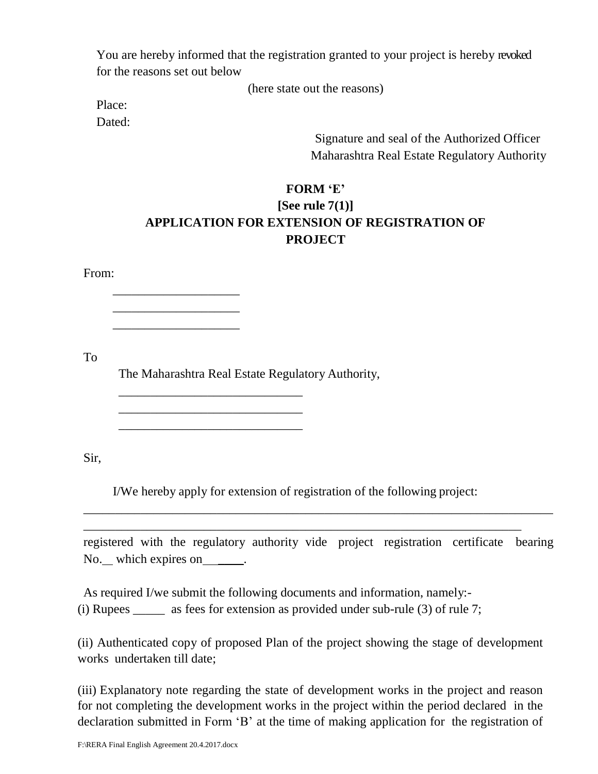You are hereby informed that the registration granted to your project is hereby revoked for the reasons set out below

(here state out the reasons)

Place:

Dated:

Signature and seal of the Authorized Officer Maharashtra Real Estate Regulatory Authority

# **FORM 'E' [See rule 7(1)] APPLICATION FOR EXTENSION OF REGISTRATION OF PROJECT**

From:

\_\_\_\_\_\_\_\_\_\_\_\_\_\_\_\_\_\_\_\_ \_\_\_\_\_\_\_\_\_\_\_\_\_\_\_\_\_\_\_\_ \_\_\_\_\_\_\_\_\_\_\_\_\_\_\_\_\_\_\_\_

To

The Maharashtra Real Estate Regulatory Authority,

\_\_\_\_\_\_\_\_\_\_\_\_\_\_\_\_\_\_\_\_\_\_\_\_\_\_\_\_\_ \_\_\_\_\_\_\_\_\_\_\_\_\_\_\_\_\_\_\_\_\_\_\_\_\_\_\_\_\_ \_\_\_\_\_\_\_\_\_\_\_\_\_\_\_\_\_\_\_\_\_\_\_\_\_\_\_\_\_

Sir,

I/We hereby apply for extension of registration of the following project:

\_\_\_\_\_\_\_\_\_\_\_\_\_\_\_\_\_\_\_\_\_\_\_\_\_\_\_\_\_\_\_\_\_\_\_\_\_\_\_\_\_\_\_\_\_\_\_\_\_\_\_\_\_\_\_\_\_\_\_\_\_\_\_\_\_\_\_\_\_

registered with the regulatory authority vide project registration certificate bearing No. which expires on \_\_\_\_.

\_\_\_\_\_\_\_\_\_\_\_\_\_\_\_\_\_\_\_\_\_\_\_\_\_\_\_\_\_\_\_\_\_\_\_\_\_\_\_\_\_\_\_\_\_\_\_\_\_\_\_\_\_\_\_\_\_\_\_\_\_\_\_\_\_\_\_\_\_\_\_\_\_\_

As required I/we submit the following documents and information, namely:-

(i) Rupees \_\_\_\_\_ as fees for extension as provided under sub-rule (3) of rule 7;

(ii) Authenticated copy of proposed Plan of the project showing the stage of development works undertaken till date;

(iii) Explanatory note regarding the state of development works in the project and reason for not completing the development works in the project within the period declared in the declaration submitted in Form 'B' at the time of making application for the registration of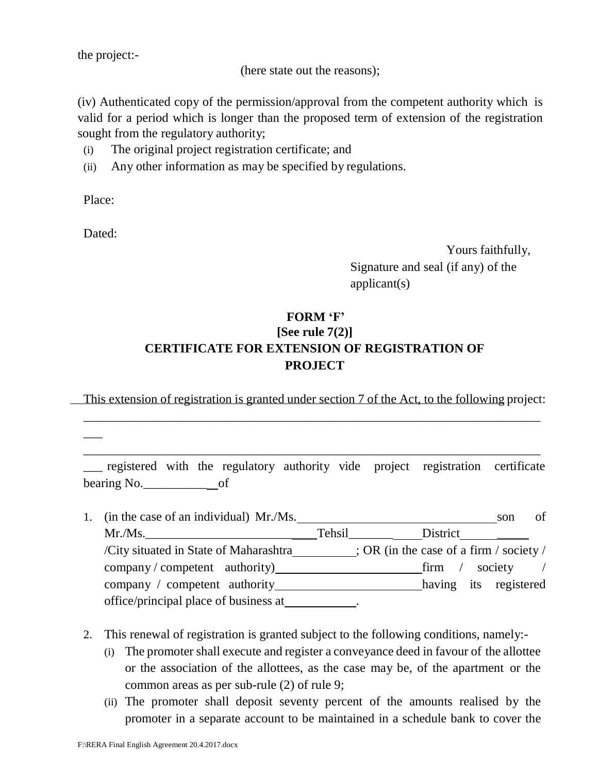the project:-

(here state out the reasons);

(iv) Authenticated copy of the permission/approval from the competent authority which is valid for a period which is longer than the proposed term of extension of the registration sought from the regulatory authority;

- (i) The original project registration certificate; and
- (ii) Any other information as may be specified by regulations.

Place:

Dated:

 $\overline{\phantom{a}}$ 

Yours faithfully, Signature and seal (if any) of the applicant(s)

# **FORM 'F' [See rule 7(2)] CERTIFICATE FOR EXTENSION OF REGISTRATION OF PROJECT**

This extension of registration is granted under section 7 of the Act, to the following project: \_\_\_\_\_\_\_\_\_\_\_\_\_\_\_\_\_\_\_\_\_\_\_\_\_\_\_\_\_\_\_\_\_\_\_\_\_\_\_\_\_\_\_\_\_\_\_\_\_\_\_\_\_\_\_\_\_\_\_\_\_\_\_\_\_\_\_\_\_\_\_\_

\_\_\_ registered with the regulatory authority vide project registration certificate bearing No.\_\_\_\_\_\_\_\_\_\_ of

\_\_\_\_\_\_\_\_\_\_\_\_\_\_\_\_\_\_\_\_\_\_\_\_\_\_\_\_\_\_\_\_\_\_\_\_\_\_\_\_\_\_\_\_\_\_\_\_\_\_\_\_\_\_\_\_\_\_\_\_\_\_\_\_\_\_\_\_\_\_\_\_

- 1. (in the case of an individual) Mr./Ms. son of son of Mr./Ms. District /City situated in State of Maharashtra ; OR (in the case of a firm / society / company / competent authority) firm / society / company / competent authority having its registered office/principal place of business at .
- 2. This renewal of registration is granted subject to the following conditions, namely:-
	- (i) The promoter shall execute and register a conveyance deed in favour of the allottee or the association of the allottees, as the case may be, of the apartment or the common areas as per sub-rule (2) of rule 9;
	- (ii) The promoter shall deposit seventy percent of the amounts realised by the promoter in a separate account to be maintained in a schedule bank to cover the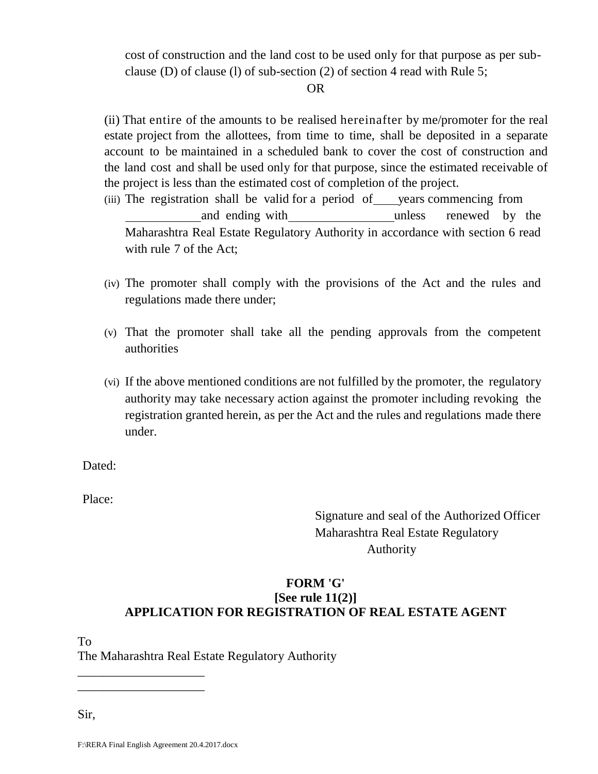cost of construction and the land cost to be used only for that purpose as per subclause (D) of clause (l) of sub-section (2) of section 4 read with Rule 5;

OR

(ii) That entire of the amounts to be realised hereinafter by me/promoter for the real estate project from the allottees, from time to time, shall be deposited in a separate account to be maintained in a scheduled bank to cover the cost of construction and the land cost and shall be used only for that purpose, since the estimated receivable of the project is less than the estimated cost of completion of the project.

- (iii) The registration shall be valid for a period of years commencing from and ending with unless renewed by the Maharashtra Real Estate Regulatory Authority in accordance with section 6 read with rule 7 of the Act;
- (iv) The promoter shall comply with the provisions of the Act and the rules and regulations made there under;
- (v) That the promoter shall take all the pending approvals from the competent authorities
- (vi) If the above mentioned conditions are not fulfilled by the promoter, the regulatory authority may take necessary action against the promoter including revoking the registration granted herein, as per the Act and the rules and regulations made there under.

Dated:

Place:

Signature and seal of the Authorized Officer Maharashtra Real Estate Regulatory Authority

## **FORM 'G' [See rule 11(2)] APPLICATION FOR REGISTRATION OF REAL ESTATE AGENT**

To The Maharashtra Real Estate Regulatory Authority

Sir,

\_\_\_\_\_\_\_\_\_\_\_\_\_\_\_\_\_\_\_\_ \_\_\_\_\_\_\_\_\_\_\_\_\_\_\_\_\_\_\_\_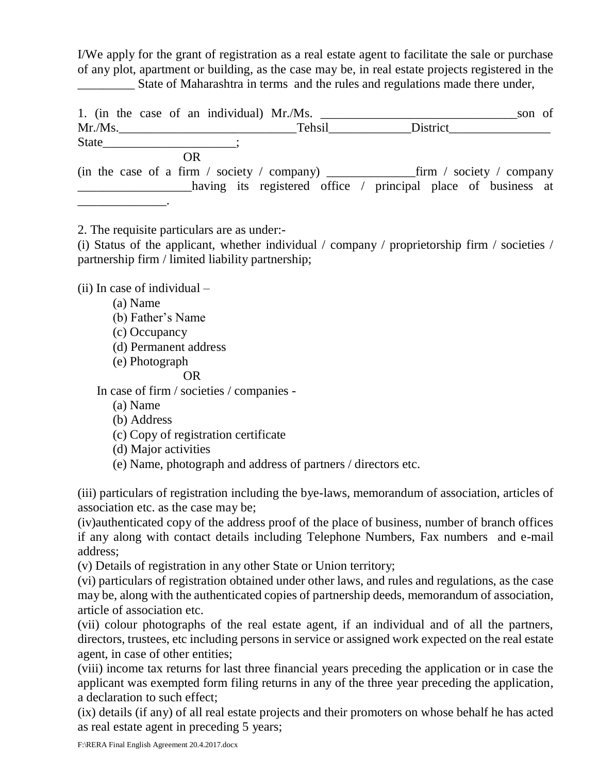I/We apply for the grant of registration as a real estate agent to facilitate the sale or purchase of any plot, apartment or building, as the case may be, in real estate projects registered in the State of Maharashtra in terms and the rules and regulations made there under,

1. (in the case of an individual) Mr./Ms. \_\_\_\_\_\_\_\_\_\_\_\_\_\_\_\_\_\_\_\_\_\_\_\_\_\_\_\_\_\_\_son of Mr./Ms.\_\_\_\_\_\_\_\_\_\_\_\_\_\_\_\_\_\_\_\_\_\_\_\_\_\_\_\_Tehsil\_\_\_\_\_\_\_\_\_\_\_\_\_District\_\_\_\_\_\_\_\_\_\_\_\_\_\_\_\_ State \_\_\_\_\_\_\_\_\_\_\_\_\_\_\_\_\_\_\_; OR (in the case of a firm / society / company) \_\_\_\_\_\_\_\_\_\_\_\_\_\_firm / society / company \_\_\_\_\_\_\_\_\_\_\_\_\_\_\_\_\_\_having its registered office / principal place of business at  $\mathcal{L}=\mathcal{L}^{\mathcal{L}}$  , we have the set of the set of the set of the set of the set of the set of the set of the set of the set of the set of the set of the set of the set of the set of the set of the set of the set of th

2. The requisite particulars are as under:-

(i) Status of the applicant, whether individual / company / proprietorship firm / societies / partnership firm / limited liability partnership;

(ii) In case of individual –

(a) Name

(b) Father's Name

- (c) Occupancy
- (d) Permanent address
- (e) Photograph
	- OR

In case of firm / societies / companies -

(a) Name

(b) Address

(c) Copy of registration certificate

(d) Major activities

(e) Name, photograph and address of partners / directors etc.

(iii) particulars of registration including the bye-laws, memorandum of association, articles of association etc. as the case may be;

(iv)authenticated copy of the address proof of the place of business, number of branch offices if any along with contact details including Telephone Numbers, Fax numbers and e-mail address;

(v) Details of registration in any other State or Union territory;

(vi) particulars of registration obtained under other laws, and rules and regulations, as the case may be, along with the authenticated copies of partnership deeds, memorandum of association, article of association etc.

(vii) colour photographs of the real estate agent, if an individual and of all the partners, directors, trustees, etc including persons in service or assigned work expected on the real estate agent, in case of other entities;

(viii) income tax returns for last three financial years preceding the application or in case the applicant was exempted form filing returns in any of the three year preceding the application, a declaration to such effect;

(ix) details (if any) of all real estate projects and their promoters on whose behalf he has acted as real estate agent in preceding 5 years;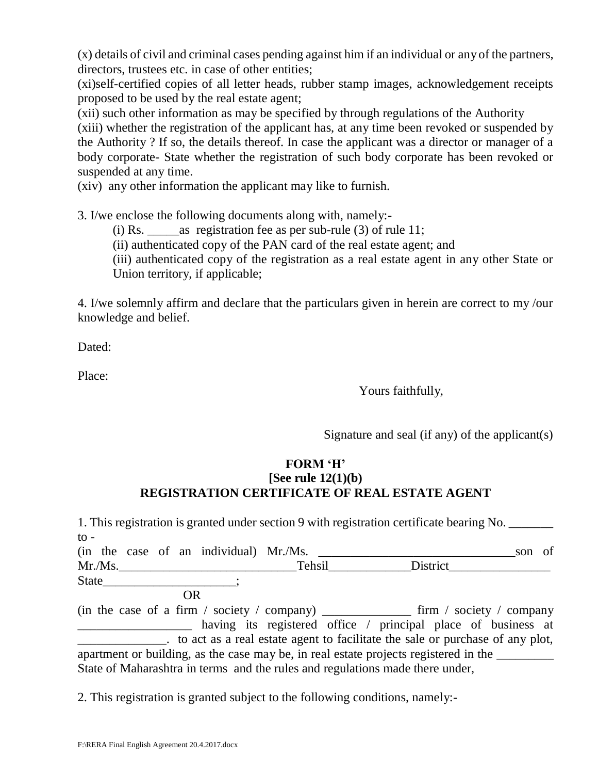(x) details of civil and criminal cases pending against him if an individual or any of the partners, directors, trustees etc. in case of other entities;

(xi)self-certified copies of all letter heads, rubber stamp images, acknowledgement receipts proposed to be used by the real estate agent;

(xii) such other information as may be specified by through regulations of the Authority

(xiii) whether the registration of the applicant has, at any time been revoked or suspended by the Authority ? If so, the details thereof. In case the applicant was a director or manager of a body corporate- State whether the registration of such body corporate has been revoked or suspended at any time.

(xiv) any other information the applicant may like to furnish.

3. I/we enclose the following documents along with, namely:-

(i) Rs.  $\qquad$  as registration fee as per sub-rule (3) of rule 11;

(ii) authenticated copy of the PAN card of the real estate agent; and

(iii) authenticated copy of the registration as a real estate agent in any other State or

Union territory, if applicable;

4. I/we solemnly affirm and declare that the particulars given in herein are correct to my /our knowledge and belief.

Dated:

Place:

Yours faithfully,

Signature and seal (if any) of the applicant(s)

## **FORM 'H'**

# **[See rule 12(1)(b) REGISTRATION CERTIFICATE OF REAL ESTATE AGENT**

| 1. This registration is granted under section 9 with registration certificate bearing No. |        |                                                                               |          |             |
|-------------------------------------------------------------------------------------------|--------|-------------------------------------------------------------------------------|----------|-------------|
| $\mathbf{to}$ -                                                                           |        |                                                                               |          |             |
| (in the case of an individual) Mr./Ms.                                                    |        |                                                                               |          | - of<br>son |
| Mr.Ms.                                                                                    | Tehsil |                                                                               | District |             |
|                                                                                           |        |                                                                               |          |             |
| <b>OR</b>                                                                                 |        |                                                                               |          |             |
| (in the case of a firm / society / company) _______________ firm / society / company      |        |                                                                               |          |             |
|                                                                                           |        | having its registered office / principal place of business at                 |          |             |
|                                                                                           |        | to act as a real estate agent to facilitate the sale or purchase of any plot, |          |             |
| apartment or building, as the case may be, in real estate projects registered in the      |        |                                                                               |          |             |
| State of Maharashtra in terms and the rules and regulations made there under,             |        |                                                                               |          |             |

2. This registration is granted subject to the following conditions, namely:-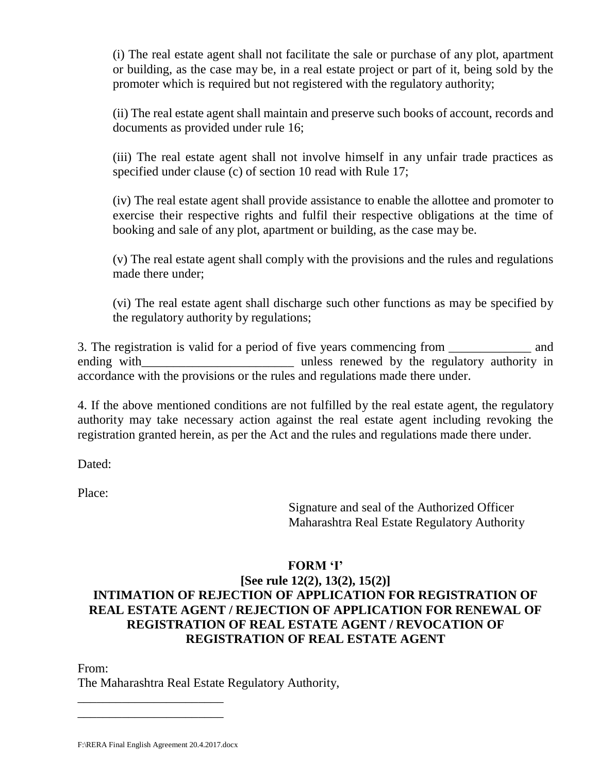(i) The real estate agent shall not facilitate the sale or purchase of any plot, apartment or building, as the case may be, in a real estate project or part of it, being sold by the promoter which is required but not registered with the regulatory authority;

(ii) The real estate agent shall maintain and preserve such books of account, records and documents as provided under rule 16;

(iii) The real estate agent shall not involve himself in any unfair trade practices as specified under clause (c) of section 10 read with Rule 17;

(iv) The real estate agent shall provide assistance to enable the allottee and promoter to exercise their respective rights and fulfil their respective obligations at the time of booking and sale of any plot, apartment or building, as the case may be.

(v) The real estate agent shall comply with the provisions and the rules and regulations made there under;

(vi) The real estate agent shall discharge such other functions as may be specified by the regulatory authority by regulations;

3. The registration is valid for a period of five years commencing from and ending with **ending** with  $\frac{1}{2}$  unless renewed by the regulatory authority in accordance with the provisions or the rules and regulations made there under.

4. If the above mentioned conditions are not fulfilled by the real estate agent, the regulatory authority may take necessary action against the real estate agent including revoking the registration granted herein, as per the Act and the rules and regulations made there under.

Dated:

Place:

Signature and seal of the Authorized Officer Maharashtra Real Estate Regulatory Authority

# **FORM 'I'**

# **[See rule 12(2), 13(2), 15(2)] INTIMATION OF REJECTION OF APPLICATION FOR REGISTRATION OF REAL ESTATE AGENT / REJECTION OF APPLICATION FOR RENEWAL OF REGISTRATION OF REAL ESTATE AGENT / REVOCATION OF REGISTRATION OF REAL ESTATE AGENT**

From:

The Maharashtra Real Estate Regulatory Authority,

\_\_\_\_\_\_\_\_\_\_\_\_\_\_\_\_\_\_\_\_\_\_\_ \_\_\_\_\_\_\_\_\_\_\_\_\_\_\_\_\_\_\_\_\_\_\_

F:\RERA Final English Agreement 20.4.2017.docx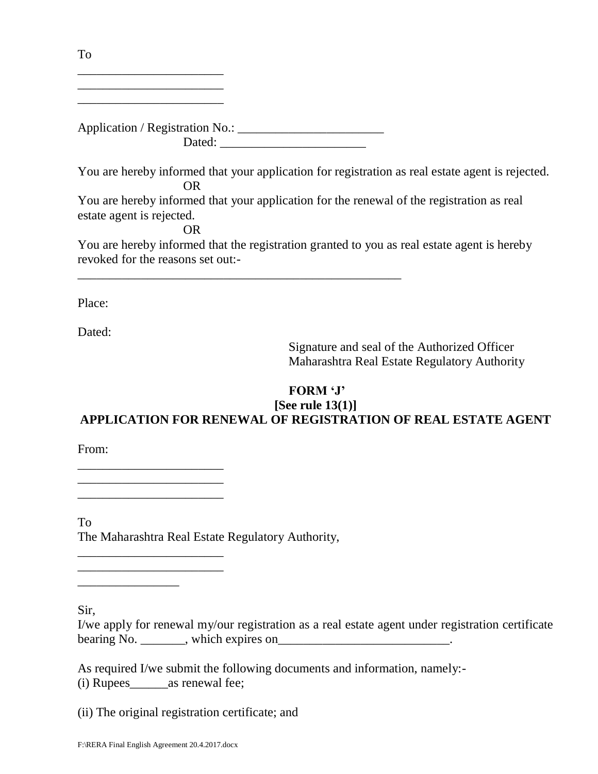| Dated: the contract of the contract of the contract of the contract of the contract of the contract of the contract of the contract of the contract of the contract of the contract of the contract of the contract of the con |
|--------------------------------------------------------------------------------------------------------------------------------------------------------------------------------------------------------------------------------|
| You are hereby informed that your application for registration as real estate agent is rejected.<br><b>OR</b>                                                                                                                  |
| You are hereby informed that your application for the renewal of the registration as real<br>estate agent is rejected.<br><b>OR</b>                                                                                            |
| You are hereby informed that the registration granted to you as real estate agent is hereby<br>revoked for the reasons set out:-                                                                                               |
| Place:                                                                                                                                                                                                                         |
| Dated:                                                                                                                                                                                                                         |

Signature and seal of the Authorized Officer Maharashtra Real Estate Regulatory Authority

## **FORM 'J' [See rule 13(1)] APPLICATION FOR RENEWAL OF REGISTRATION OF REAL ESTATE AGENT**

From:

To

To The Maharashtra Real Estate Regulatory Authority,

Sir,

I/we apply for renewal my/our registration as a real estate agent under registration certificate bearing No. \_\_\_\_\_\_\_, which expires on\_\_\_\_\_\_\_\_\_\_\_\_\_\_\_\_\_\_\_\_\_\_\_\_\_.

As required I/we submit the following documents and information, namely:- (i) Rupees\_\_\_\_\_\_as renewal fee;

(ii) The original registration certificate; and

\_\_\_\_\_\_\_\_\_\_\_\_\_\_\_\_\_\_\_\_\_\_\_ \_\_\_\_\_\_\_\_\_\_\_\_\_\_\_\_\_\_\_\_\_\_\_

\_\_\_\_\_\_\_\_\_\_\_\_\_\_\_\_\_\_\_\_\_\_\_ \_\_\_\_\_\_\_\_\_\_\_\_\_\_\_\_\_\_\_\_\_\_\_

\_\_\_\_\_\_\_\_\_\_\_\_\_\_\_\_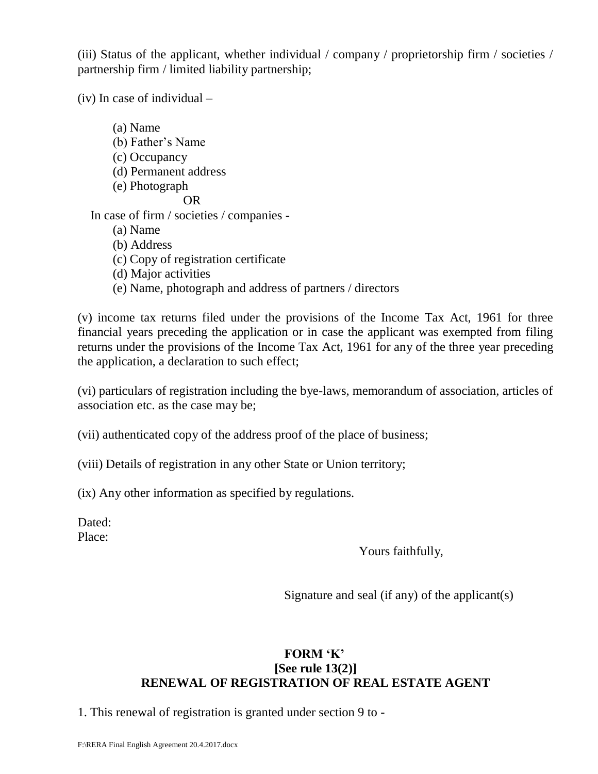(iii) Status of the applicant, whether individual / company / proprietorship firm / societies / partnership firm / limited liability partnership;

(iv) In case of individual –

(a) Name (b) Father's Name (c) Occupancy (d) Permanent address (e) Photograph OR In case of firm / societies / companies - (a) Name (b) Address (c) Copy of registration certificate (d) Major activities (e) Name, photograph and address of partners / directors

(v) income tax returns filed under the provisions of the Income Tax Act, 1961 for three financial years preceding the application or in case the applicant was exempted from filing returns under the provisions of the Income Tax Act, 1961 for any of the three year preceding the application, a declaration to such effect;

(vi) particulars of registration including the bye-laws, memorandum of association, articles of association etc. as the case may be;

(vii) authenticated copy of the address proof of the place of business;

(viii) Details of registration in any other State or Union territory;

(ix) Any other information as specified by regulations.

Dated: Place:

Yours faithfully,

Signature and seal (if any) of the applicant(s)

# **FORM 'K' [See rule 13(2)] RENEWAL OF REGISTRATION OF REAL ESTATE AGENT**

1. This renewal of registration is granted under section 9 to -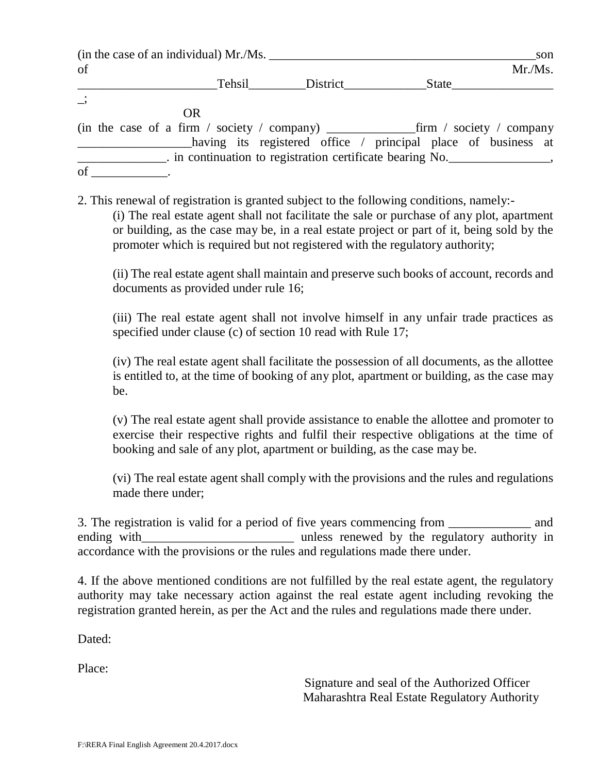| $(in the case of an individual) Mr. /Ms.$<br>of                                          |           |                 |                                                                                            | son<br>Mr.Ms. |
|------------------------------------------------------------------------------------------|-----------|-----------------|--------------------------------------------------------------------------------------------|---------------|
|                                                                                          |           | Tehsil District | State                                                                                      |               |
|                                                                                          |           |                 |                                                                                            |               |
|                                                                                          | <b>OR</b> |                 |                                                                                            |               |
|                                                                                          |           |                 |                                                                                            |               |
|                                                                                          |           |                 | having its registered office / principal place of business at                              |               |
|                                                                                          |           |                 | . in continuation to registration certificate bearing No.                                  |               |
| $\mathbf{f}$ .                                                                           |           |                 |                                                                                            |               |
| 2. This renewal of registration is granted subject to the following conditions, namely:- |           |                 | (i) The real estate agent shall not facilitate the sale or purchase of any plot, apartment |               |

or building, as the case may be, in a real estate project or part of it, being sold by the promoter which is required but not registered with the regulatory authority;

(ii) The real estate agent shall maintain and preserve such books of account, records and documents as provided under rule 16;

(iii) The real estate agent shall not involve himself in any unfair trade practices as specified under clause (c) of section 10 read with Rule 17;

(iv) The real estate agent shall facilitate the possession of all documents, as the allottee is entitled to, at the time of booking of any plot, apartment or building, as the case may be.

(v) The real estate agent shall provide assistance to enable the allottee and promoter to exercise their respective rights and fulfil their respective obligations at the time of booking and sale of any plot, apartment or building, as the case may be.

(vi) The real estate agent shall comply with the provisions and the rules and regulations made there under;

3. The registration is valid for a period of five years commencing from and ending with\_\_\_\_\_\_\_\_\_\_\_\_\_\_\_\_\_\_\_\_\_\_\_\_\_\_\_\_\_\_\_\_\_ unless renewed by the regulatory authority in accordance with the provisions or the rules and regulations made there under.

4. If the above mentioned conditions are not fulfilled by the real estate agent, the regulatory authority may take necessary action against the real estate agent including revoking the registration granted herein, as per the Act and the rules and regulations made there under.

Dated:

Place:

 Signature and seal of the Authorized Officer Maharashtra Real Estate Regulatory Authority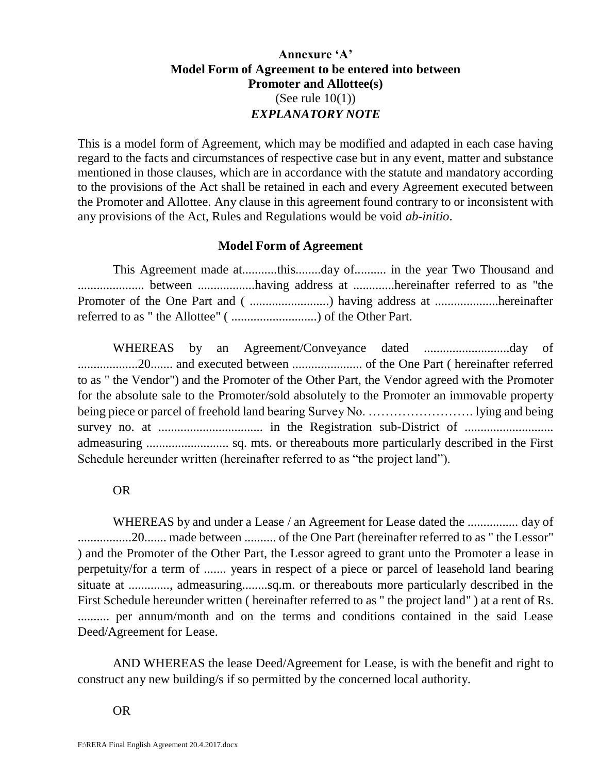## **Annexure 'A' Model Form of Agreement to be entered into between Promoter and Allottee(s)** (See rule  $10(1)$ ) *EXPLANATORY NOTE*

This is a model form of Agreement, which may be modified and adapted in each case having regard to the facts and circumstances of respective case but in any event, matter and substance mentioned in those clauses, which are in accordance with the statute and mandatory according to the provisions of the Act shall be retained in each and every Agreement executed between the Promoter and Allottee. Any clause in this agreement found contrary to or inconsistent with any provisions of the Act, Rules and Regulations would be void *ab-initio*.

## **Model Form of Agreement**

This Agreement made at...........this........day of.......... in the year Two Thousand and ..................... between ..................having address at .............hereinafter referred to as "the Promoter of the One Part and ( .................................) having address at .....................hereinafter referred to as " the Allottee" ( ...........................) of the Other Part.

WHEREAS by an Agreement/Conveyance dated ...........................day of ...................20....... and executed between ...................... of the One Part ( hereinafter referred to as " the Vendor") and the Promoter of the Other Part, the Vendor agreed with the Promoter for the absolute sale to the Promoter/sold absolutely to the Promoter an immovable property being piece or parcel of freehold land bearing Survey No. ……………………. lying and being survey no. at ................................. in the Registration sub-District of ............................ admeasuring .......................... sq. mts. or thereabouts more particularly described in the First Schedule hereunder written (hereinafter referred to as "the project land").

#### OR

WHEREAS by and under a Lease / an Agreement for Lease dated the ................. day of .................20....... made between .......... of the One Part (hereinafter referred to as " the Lessor" ) and the Promoter of the Other Part, the Lessor agreed to grant unto the Promoter a lease in perpetuity/for a term of ....... years in respect of a piece or parcel of leasehold land bearing situate at ............., admeasuring........sq.m. or thereabouts more particularly described in the First Schedule hereunder written ( hereinafter referred to as " the project land" ) at a rent of Rs. .......... per annum/month and on the terms and conditions contained in the said Lease Deed/Agreement for Lease.

AND WHEREAS the lease Deed/Agreement for Lease, is with the benefit and right to construct any new building/s if so permitted by the concerned local authority.

#### OR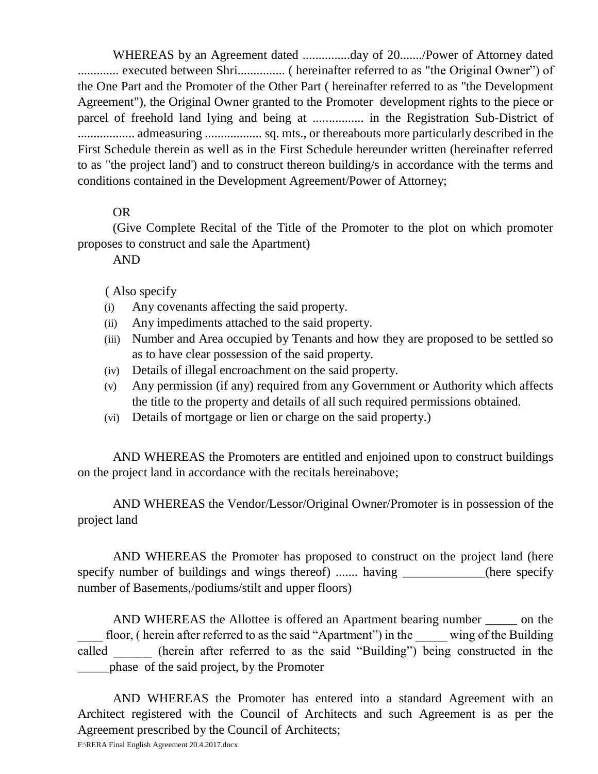WHEREAS by an Agreement dated ...............day of 20......./Power of Attorney dated ............. executed between Shri............... ( hereinafter referred to as "the Original Owner") of the One Part and the Promoter of the Other Part ( hereinafter referred to as "the Development Agreement"), the Original Owner granted to the Promoter development rights to the piece or parcel of freehold land lying and being at ................ in the Registration Sub-District of .................. admeasuring .................. sq. mts., or thereabouts more particularly described in the First Schedule therein as well as in the First Schedule hereunder written (hereinafter referred to as "the project land') and to construct thereon building/s in accordance with the terms and conditions contained in the Development Agreement/Power of Attorney;

## OR

(Give Complete Recital of the Title of the Promoter to the plot on which promoter proposes to construct and sale the Apartment)

AND

( Also specify

- (i) Any covenants affecting the said property.
- (ii) Any impediments attached to the said property.
- (iii) Number and Area occupied by Tenants and how they are proposed to be settled so as to have clear possession of the said property.
- (iv) Details of illegal encroachment on the said property.
- (v) Any permission (if any) required from any Government or Authority which affects the title to the property and details of all such required permissions obtained.
- (vi) Details of mortgage or lien or charge on the said property.)

AND WHEREAS the Promoters are entitled and enjoined upon to construct buildings on the project land in accordance with the recitals hereinabove;

AND WHEREAS the Vendor/Lessor/Original Owner/Promoter is in possession of the project land

AND WHEREAS the Promoter has proposed to construct on the project land (here specify number of buildings and wings thereof) ....... having \_\_\_\_\_\_\_\_\_\_(here specify number of Basements,/podiums/stilt and upper floors)

AND WHEREAS the Allottee is offered an Apartment bearing number \_\_\_\_\_ on the floor, ( herein after referred to as the said "Apartment") in the wing of the Building called (herein after referred to as the said "Building") being constructed in the \_\_\_\_\_phase of the said project, by the Promoter

AND WHEREAS the Promoter has entered into a standard Agreement with an Architect registered with the Council of Architects and such Agreement is as per the Agreement prescribed by the Council of Architects;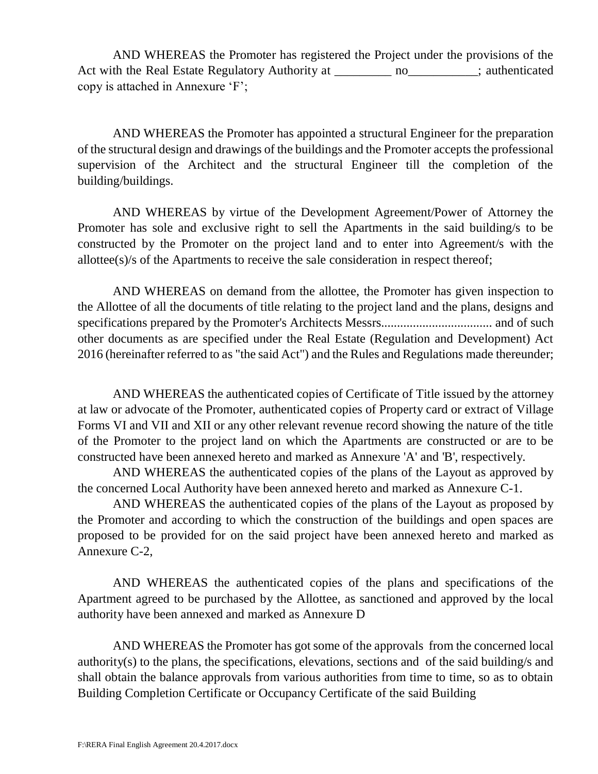AND WHEREAS the Promoter has registered the Project under the provisions of the Act with the Real Estate Regulatory Authority at \_\_\_\_\_\_\_\_\_\_ no \_\_\_\_\_\_\_\_; authenticated copy is attached in Annexure 'F';

AND WHEREAS the Promoter has appointed a structural Engineer for the preparation of the structural design and drawings of the buildings and the Promoter accepts the professional supervision of the Architect and the structural Engineer till the completion of the building/buildings.

AND WHEREAS by virtue of the Development Agreement/Power of Attorney the Promoter has sole and exclusive right to sell the Apartments in the said building/s to be constructed by the Promoter on the project land and to enter into Agreement/s with the allottee(s)/s of the Apartments to receive the sale consideration in respect thereof;

AND WHEREAS on demand from the allottee, the Promoter has given inspection to the Allottee of all the documents of title relating to the project land and the plans, designs and specifications prepared by the Promoter's Architects Messrs................................... and of such other documents as are specified under the Real Estate (Regulation and Development) Act 2016 (hereinafter referred to as "the said Act") and the Rules and Regulations made thereunder;

AND WHEREAS the authenticated copies of Certificate of Title issued by the attorney at law or advocate of the Promoter, authenticated copies of Property card or extract of Village Forms VI and VII and XII or any other relevant revenue record showing the nature of the title of the Promoter to the project land on which the Apartments are constructed or are to be constructed have been annexed hereto and marked as Annexure 'A' and 'B', respectively.

AND WHEREAS the authenticated copies of the plans of the Layout as approved by the concerned Local Authority have been annexed hereto and marked as Annexure C-1.

AND WHEREAS the authenticated copies of the plans of the Layout as proposed by the Promoter and according to which the construction of the buildings and open spaces are proposed to be provided for on the said project have been annexed hereto and marked as Annexure C-2,

AND WHEREAS the authenticated copies of the plans and specifications of the Apartment agreed to be purchased by the Allottee, as sanctioned and approved by the local authority have been annexed and marked as Annexure D

AND WHEREAS the Promoter has got some of the approvals from the concerned local authority(s) to the plans, the specifications, elevations, sections and of the said building/s and shall obtain the balance approvals from various authorities from time to time, so as to obtain Building Completion Certificate or Occupancy Certificate of the said Building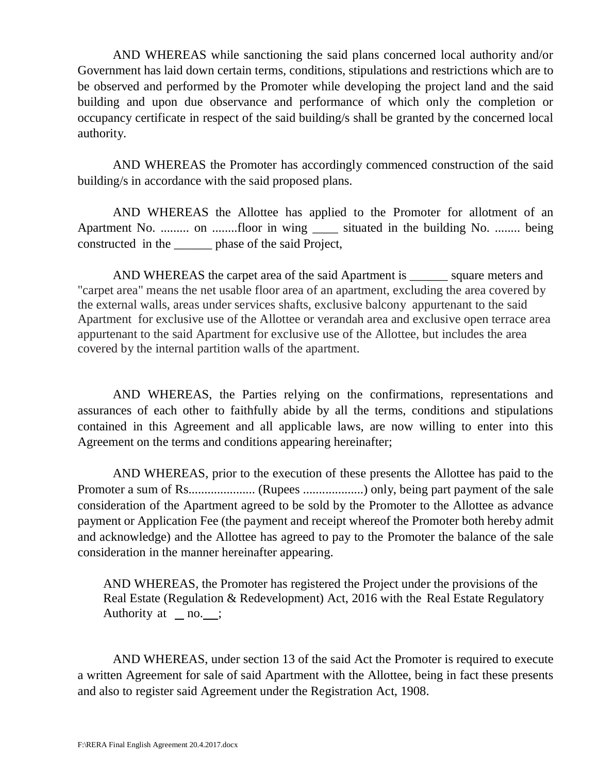AND WHEREAS while sanctioning the said plans concerned local authority and/or Government has laid down certain terms, conditions, stipulations and restrictions which are to be observed and performed by the Promoter while developing the project land and the said building and upon due observance and performance of which only the completion or occupancy certificate in respect of the said building/s shall be granted by the concerned local authority.

AND WHEREAS the Promoter has accordingly commenced construction of the said building/s in accordance with the said proposed plans.

AND WHEREAS the Allottee has applied to the Promoter for allotment of an Apartment No. ......... on .........floor in wing situated in the building No. ........ being constructed in the \_\_\_\_\_\_ phase of the said Project,

AND WHEREAS the carpet area of the said Apartment is square meters and "carpet area" means the net usable floor area of an apartment, excluding the area covered by the external walls, areas under services shafts, exclusive balcony appurtenant to the said Apartment for exclusive use of the Allottee or verandah area and exclusive open terrace area appurtenant to the said Apartment for exclusive use of the Allottee, but includes the area covered by the internal partition walls of the apartment.

AND WHEREAS, the Parties relying on the confirmations, representations and assurances of each other to faithfully abide by all the terms, conditions and stipulations contained in this Agreement and all applicable laws, are now willing to enter into this Agreement on the terms and conditions appearing hereinafter;

AND WHEREAS, prior to the execution of these presents the Allottee has paid to the Promoter a sum of Rs..................... (Rupees ...................) only, being part payment of the sale consideration of the Apartment agreed to be sold by the Promoter to the Allottee as advance payment or Application Fee (the payment and receipt whereof the Promoter both hereby admit and acknowledge) and the Allottee has agreed to pay to the Promoter the balance of the sale consideration in the manner hereinafter appearing.

AND WHEREAS, the Promoter has registered the Project under the provisions of the Real Estate (Regulation & Redevelopment) Act, 2016 with the Real Estate Regulatory Authority at  $\_\text{no.};$ 

AND WHEREAS, under section 13 of the said Act the Promoter is required to execute a written Agreement for sale of said Apartment with the Allottee, being in fact these presents and also to register said Agreement under the Registration Act, 1908.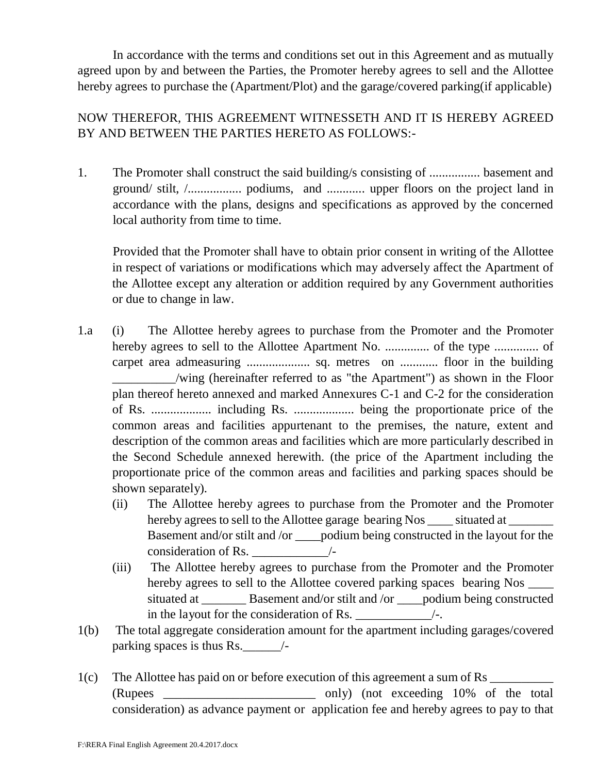In accordance with the terms and conditions set out in this Agreement and as mutually agreed upon by and between the Parties, the Promoter hereby agrees to sell and the Allottee hereby agrees to purchase the (Apartment/Plot) and the garage/covered parking(if applicable)

# NOW THEREFOR, THIS AGREEMENT WITNESSETH AND IT IS HEREBY AGREED BY AND BETWEEN THE PARTIES HERETO AS FOLLOWS:-

1. The Promoter shall construct the said building/s consisting of ................ basement and ground/ stilt, /................. podiums, and ............ upper floors on the project land in accordance with the plans, designs and specifications as approved by the concerned local authority from time to time.

Provided that the Promoter shall have to obtain prior consent in writing of the Allottee in respect of variations or modifications which may adversely affect the Apartment of the Allottee except any alteration or addition required by any Government authorities or due to change in law.

- 1.a (i) The Allottee hereby agrees to purchase from the Promoter and the Promoter hereby agrees to sell to the Allottee Apartment No. .............. of the type .............. of carpet area admeasuring .................... sq. metres on ............ floor in the building \_\_\_\_\_\_\_\_\_\_/wing (hereinafter referred to as "the Apartment") as shown in the Floor plan thereof hereto annexed and marked Annexures C-1 and C-2 for the consideration of Rs. ................... including Rs. ................... being the proportionate price of the common areas and facilities appurtenant to the premises, the nature, extent and description of the common areas and facilities which are more particularly described in the Second Schedule annexed herewith. (the price of the Apartment including the proportionate price of the common areas and facilities and parking spaces should be shown separately).
	- (ii) The Allottee hereby agrees to purchase from the Promoter and the Promoter hereby agrees to sell to the Allottee garage bearing Nos settler situated at set  $\frac{1}{\sqrt{2\pi}}$ Basement and/or stilt and /or \_\_\_\_podium being constructed in the layout for the consideration of Rs. \_\_\_\_\_\_\_\_\_\_\_\_/-
	- (iii) The Allottee hereby agrees to purchase from the Promoter and the Promoter hereby agrees to sell to the Allottee covered parking spaces bearing Nos \_\_\_\_\_ situated at \_\_\_\_\_\_\_ Basement and/or stilt and /or \_\_\_\_podium being constructed in the layout for the consideration of Rs. \_\_\_\_\_\_\_\_\_\_\_\_\_\_\_\_\_/-.
- 1(b) The total aggregate consideration amount for the apartment including garages/covered parking spaces is thus Rs.\_\_\_\_\_\_/-
- 1(c) The Allottee has paid on or before execution of this agreement a sum of Rs \_\_\_\_\_\_\_\_\_\_ (Rupees \_\_\_\_\_\_\_\_\_\_\_\_\_\_\_\_\_\_\_\_\_\_\_\_ only) (not exceeding 10% of the total consideration) as advance payment or application fee and hereby agrees to pay to that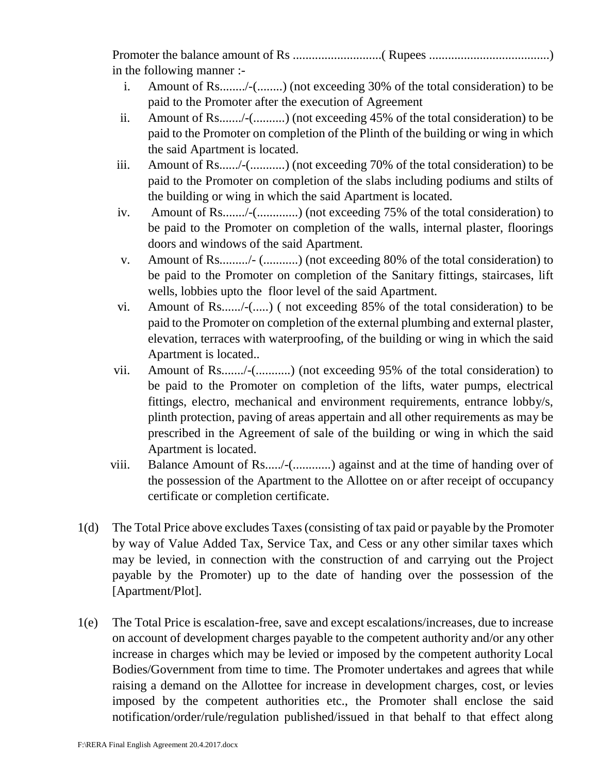Promoter the balance amount of Rs ............................( Rupees ......................................) in the following manner :-

- i. Amount of Rs......../-(........) (not exceeding 30% of the total consideration) to be paid to the Promoter after the execution of Agreement
- ii. Amount of Rs......./-(..........) (not exceeding 45% of the total consideration) to be paid to the Promoter on completion of the Plinth of the building or wing in which the said Apartment is located.
- iii. Amount of Rs....../-(...........) (not exceeding 70% of the total consideration) to be paid to the Promoter on completion of the slabs including podiums and stilts of the building or wing in which the said Apartment is located.
- iv. Amount of Rs......./-(.............) (not exceeding 75% of the total consideration) to be paid to the Promoter on completion of the walls, internal plaster, floorings doors and windows of the said Apartment.
- v. Amount of Rs........./- (...........) (not exceeding 80% of the total consideration) to be paid to the Promoter on completion of the Sanitary fittings, staircases, lift wells, lobbies upto the floor level of the said Apartment.
- vi. Amount of Rs....../-(.....) ( not exceeding 85% of the total consideration) to be paid to the Promoter on completion of the external plumbing and external plaster, elevation, terraces with waterproofing, of the building or wing in which the said Apartment is located..
- vii. Amount of Rs......./-(...........) (not exceeding 95% of the total consideration) to be paid to the Promoter on completion of the lifts, water pumps, electrical fittings, electro, mechanical and environment requirements, entrance lobby/s, plinth protection, paving of areas appertain and all other requirements as may be prescribed in the Agreement of sale of the building or wing in which the said Apartment is located.
- viii. Balance Amount of Rs...../-(............) against and at the time of handing over of the possession of the Apartment to the Allottee on or after receipt of occupancy certificate or completion certificate.
- 1(d) The Total Price above excludes Taxes (consisting of tax paid or payable by the Promoter by way of Value Added Tax, Service Tax, and Cess or any other similar taxes which may be levied, in connection with the construction of and carrying out the Project payable by the Promoter) up to the date of handing over the possession of the [Apartment/Plot].
- 1(e) The Total Price is escalation-free, save and except escalations/increases, due to increase on account of development charges payable to the competent authority and/or any other increase in charges which may be levied or imposed by the competent authority Local Bodies/Government from time to time. The Promoter undertakes and agrees that while raising a demand on the Allottee for increase in development charges, cost, or levies imposed by the competent authorities etc., the Promoter shall enclose the said notification/order/rule/regulation published/issued in that behalf to that effect along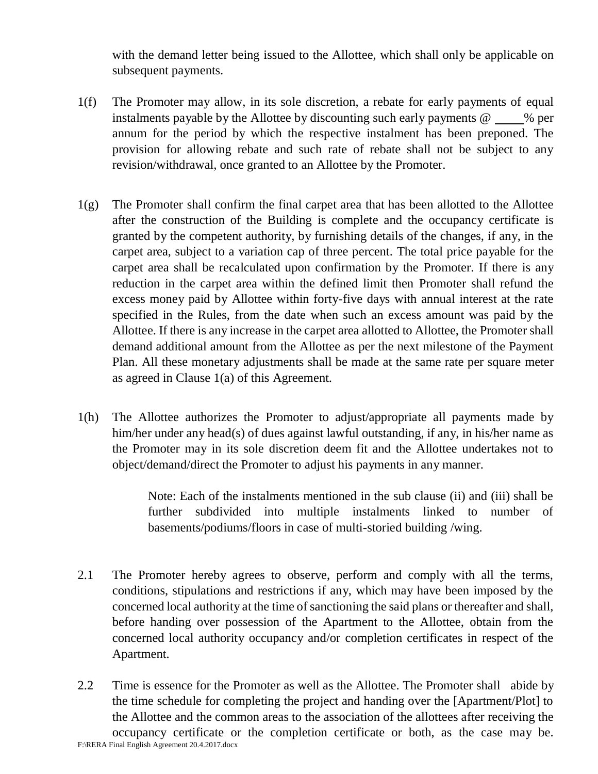with the demand letter being issued to the Allottee, which shall only be applicable on subsequent payments.

- 1(f) The Promoter may allow, in its sole discretion, a rebate for early payments of equal instalments payable by the Allottee by discounting such early payments  $\omega$  % per annum for the period by which the respective instalment has been preponed. The provision for allowing rebate and such rate of rebate shall not be subject to any revision/withdrawal, once granted to an Allottee by the Promoter.
- 1(g) The Promoter shall confirm the final carpet area that has been allotted to the Allottee after the construction of the Building is complete and the occupancy certificate is granted by the competent authority, by furnishing details of the changes, if any, in the carpet area, subject to a variation cap of three percent. The total price payable for the carpet area shall be recalculated upon confirmation by the Promoter. If there is any reduction in the carpet area within the defined limit then Promoter shall refund the excess money paid by Allottee within forty-five days with annual interest at the rate specified in the Rules, from the date when such an excess amount was paid by the Allottee. If there is any increase in the carpet area allotted to Allottee, the Promoter shall demand additional amount from the Allottee as per the next milestone of the Payment Plan. All these monetary adjustments shall be made at the same rate per square meter as agreed in Clause 1(a) of this Agreement.
- 1(h) The Allottee authorizes the Promoter to adjust/appropriate all payments made by him/her under any head(s) of dues against lawful outstanding, if any, in his/her name as the Promoter may in its sole discretion deem fit and the Allottee undertakes not to object/demand/direct the Promoter to adjust his payments in any manner.

Note: Each of the instalments mentioned in the sub clause (ii) and (iii) shall be further subdivided into multiple instalments linked to number of basements/podiums/floors in case of multi-storied building /wing.

- 2.1 The Promoter hereby agrees to observe, perform and comply with all the terms, conditions, stipulations and restrictions if any, which may have been imposed by the concerned local authority at the time of sanctioning the said plans or thereafter and shall, before handing over possession of the Apartment to the Allottee, obtain from the concerned local authority occupancy and/or completion certificates in respect of the Apartment.
- F:\RERA Final English Agreement 20.4.2017.docx 2.2 Time is essence for the Promoter as well as the Allottee. The Promoter shall abide by the time schedule for completing the project and handing over the [Apartment/Plot] to the Allottee and the common areas to the association of the allottees after receiving the occupancy certificate or the completion certificate or both, as the case may be.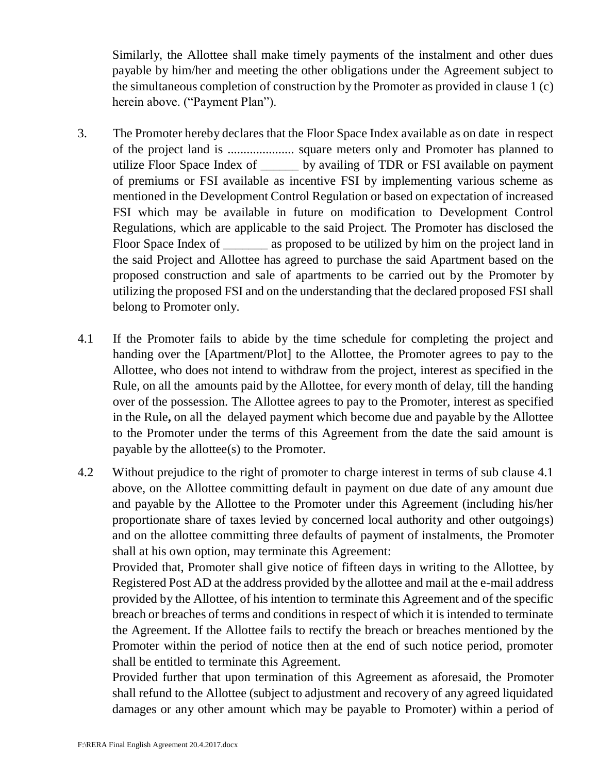Similarly, the Allottee shall make timely payments of the instalment and other dues payable by him/her and meeting the other obligations under the Agreement subject to the simultaneous completion of construction by the Promoter as provided in clause 1 (c) herein above. ("Payment Plan").

- 3. The Promoter hereby declares that the Floor Space Index available as on date in respect of the project land is ..................... square meters only and Promoter has planned to utilize Floor Space Index of \_\_\_\_\_\_ by availing of TDR or FSI available on payment of premiums or FSI available as incentive FSI by implementing various scheme as mentioned in the Development Control Regulation or based on expectation of increased FSI which may be available in future on modification to Development Control Regulations, which are applicable to the said Project. The Promoter has disclosed the Floor Space Index of as proposed to be utilized by him on the project land in the said Project and Allottee has agreed to purchase the said Apartment based on the proposed construction and sale of apartments to be carried out by the Promoter by utilizing the proposed FSI and on the understanding that the declared proposed FSI shall belong to Promoter only.
- 4.1 If the Promoter fails to abide by the time schedule for completing the project and handing over the [Apartment/Plot] to the Allottee, the Promoter agrees to pay to the Allottee, who does not intend to withdraw from the project, interest as specified in the Rule, on all the amounts paid by the Allottee, for every month of delay, till the handing over of the possession. The Allottee agrees to pay to the Promoter, interest as specified in the Rule**,** on all the delayed payment which become due and payable by the Allottee to the Promoter under the terms of this Agreement from the date the said amount is payable by the allottee(s) to the Promoter.
- 4.2 Without prejudice to the right of promoter to charge interest in terms of sub clause 4.1 above, on the Allottee committing default in payment on due date of any amount due and payable by the Allottee to the Promoter under this Agreement (including his/her proportionate share of taxes levied by concerned local authority and other outgoings) and on the allottee committing three defaults of payment of instalments, the Promoter shall at his own option, may terminate this Agreement:

Provided that, Promoter shall give notice of fifteen days in writing to the Allottee, by Registered Post AD at the address provided by the allottee and mail at the e-mail address provided by the Allottee, of his intention to terminate this Agreement and of the specific breach or breaches of terms and conditions in respect of which it is intended to terminate the Agreement. If the Allottee fails to rectify the breach or breaches mentioned by the Promoter within the period of notice then at the end of such notice period, promoter shall be entitled to terminate this Agreement.

Provided further that upon termination of this Agreement as aforesaid, the Promoter shall refund to the Allottee (subject to adjustment and recovery of any agreed liquidated damages or any other amount which may be payable to Promoter) within a period of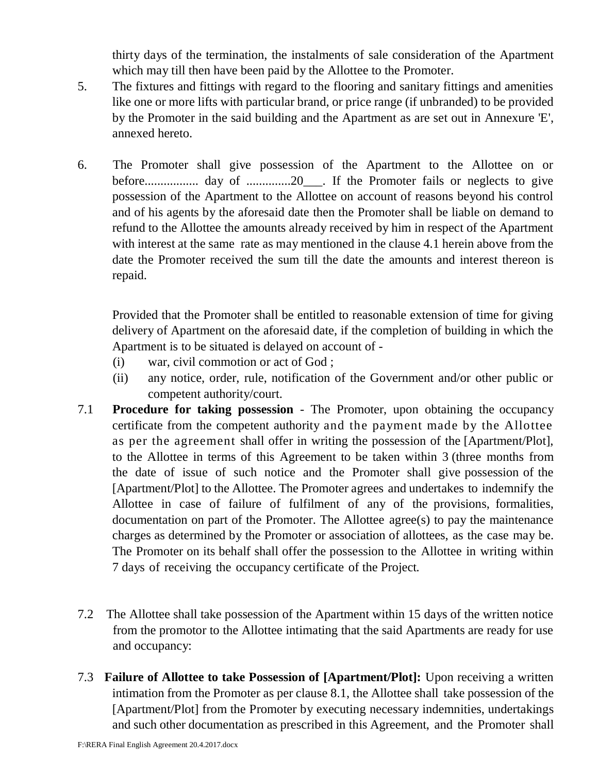thirty days of the termination, the instalments of sale consideration of the Apartment which may till then have been paid by the Allottee to the Promoter.

- 5. The fixtures and fittings with regard to the flooring and sanitary fittings and amenities like one or more lifts with particular brand, or price range (if unbranded) to be provided by the Promoter in the said building and the Apartment as are set out in Annexure 'E', annexed hereto.
- 6. The Promoter shall give possession of the Apartment to the Allottee on or before................. day of ..............20\_\_\_. If the Promoter fails or neglects to give possession of the Apartment to the Allottee on account of reasons beyond his control and of his agents by the aforesaid date then the Promoter shall be liable on demand to refund to the Allottee the amounts already received by him in respect of the Apartment with interest at the same rate as may mentioned in the clause 4.1 herein above from the date the Promoter received the sum till the date the amounts and interest thereon is repaid.

Provided that the Promoter shall be entitled to reasonable extension of time for giving delivery of Apartment on the aforesaid date, if the completion of building in which the Apartment is to be situated is delayed on account of -

- (i) war, civil commotion or act of God ;
- (ii) any notice, order, rule, notification of the Government and/or other public or competent authority/court.
- 7.1 **Procedure for taking possession**  The Promoter, upon obtaining the occupancy certificate from the competent authority and the payment made by the Allottee as per the agreement shall offer in writing the possession of the [Apartment/Plot], to the Allottee in terms of this Agreement to be taken within 3 (three months from the date of issue of such notice and the Promoter shall give possession of the [Apartment/Plot] to the Allottee. The Promoter agrees and undertakes to indemnify the Allottee in case of failure of fulfilment of any of the provisions, formalities, documentation on part of the Promoter. The Allottee agree(s) to pay the maintenance charges as determined by the Promoter or association of allottees, as the case may be. The Promoter on its behalf shall offer the possession to the Allottee in writing within 7 days of receiving the occupancy certificate of the Project*.*
- 7.2 The Allottee shall take possession of the Apartment within 15 days of the written notice from the promotor to the Allottee intimating that the said Apartments are ready for use and occupancy:
- 7.3 **Failure of Allottee to take Possession of [Apartment/Plot]:** Upon receiving a written intimation from the Promoter as per clause 8.1, the Allottee shall take possession of the [Apartment/Plot] from the Promoter by executing necessary indemnities, undertakings and such other documentation as prescribed in this Agreement, and the Promoter shall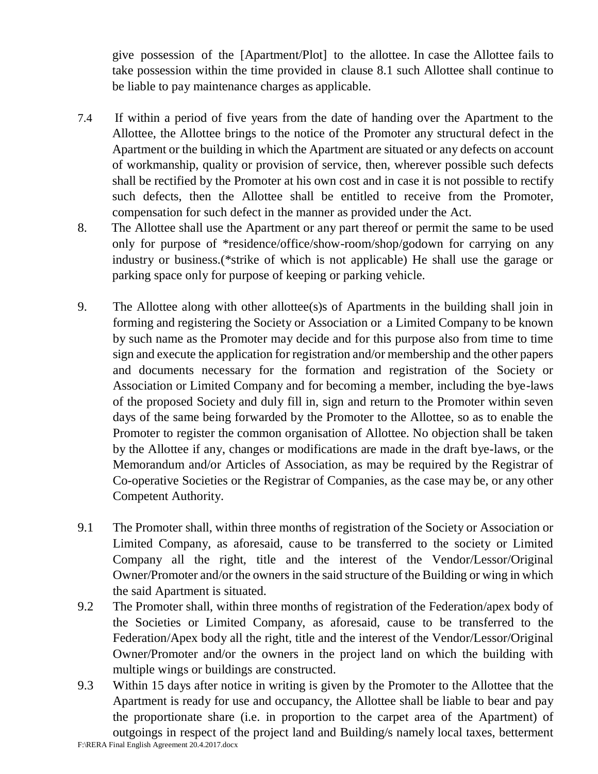give possession of the [Apartment/Plot] to the allottee. In case the Allottee fails to take possession within the time provided in clause 8.1 such Allottee shall continue to be liable to pay maintenance charges as applicable.

- 7.4If within a period of five years from the date of handing over the Apartment to the Allottee, the Allottee brings to the notice of the Promoter any structural defect in the Apartment or the building in which the Apartment are situated or any defects on account of workmanship, quality or provision of service, then, wherever possible such defects shall be rectified by the Promoter at his own cost and in case it is not possible to rectify such defects, then the Allottee shall be entitled to receive from the Promoter, compensation for such defect in the manner as provided under the Act.
- 8. The Allottee shall use the Apartment or any part thereof or permit the same to be used only for purpose of \*residence/office/show-room/shop/godown for carrying on any industry or business.(\*strike of which is not applicable) He shall use the garage or parking space only for purpose of keeping or parking vehicle.
- 9. The Allottee along with other allottee(s)s of Apartments in the building shall join in forming and registering the Society or Association or a Limited Company to be known by such name as the Promoter may decide and for this purpose also from time to time sign and execute the application for registration and/or membership and the other papers and documents necessary for the formation and registration of the Society or Association or Limited Company and for becoming a member, including the bye-laws of the proposed Society and duly fill in, sign and return to the Promoter within seven days of the same being forwarded by the Promoter to the Allottee, so as to enable the Promoter to register the common organisation of Allottee. No objection shall be taken by the Allottee if any, changes or modifications are made in the draft bye-laws, or the Memorandum and/or Articles of Association, as may be required by the Registrar of Co-operative Societies or the Registrar of Companies, as the case may be, or any other Competent Authority.
- 9.1 The Promoter shall, within three months of registration of the Society or Association or Limited Company, as aforesaid, cause to be transferred to the society or Limited Company all the right, title and the interest of the Vendor/Lessor/Original Owner/Promoter and/or the owners in the said structure of the Building or wing in which the said Apartment is situated.
- 9.2 The Promoter shall, within three months of registration of the Federation/apex body of the Societies or Limited Company, as aforesaid, cause to be transferred to the Federation/Apex body all the right, title and the interest of the Vendor/Lessor/Original Owner/Promoter and/or the owners in the project land on which the building with multiple wings or buildings are constructed.
- 9.3 Within 15 days after notice in writing is given by the Promoter to the Allottee that the Apartment is ready for use and occupancy, the Allottee shall be liable to bear and pay the proportionate share (i.e. in proportion to the carpet area of the Apartment) of outgoings in respect of the project land and Building/s namely local taxes, betterment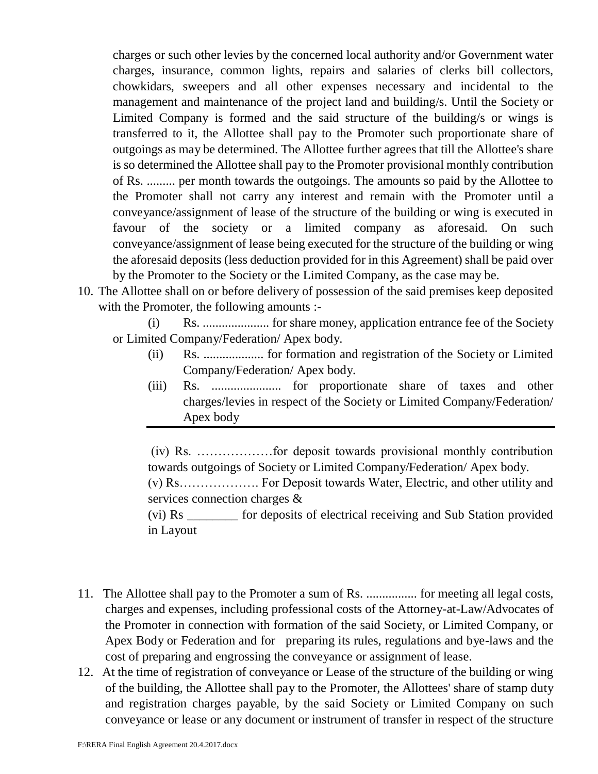charges or such other levies by the concerned local authority and/or Government water charges, insurance, common lights, repairs and salaries of clerks bill collectors, chowkidars, sweepers and all other expenses necessary and incidental to the management and maintenance of the project land and building/s. Until the Society or Limited Company is formed and the said structure of the building/s or wings is transferred to it, the Allottee shall pay to the Promoter such proportionate share of outgoings as may be determined. The Allottee further agrees that till the Allottee's share is so determined the Allottee shall pay to the Promoter provisional monthly contribution of Rs. ......... per month towards the outgoings. The amounts so paid by the Allottee to the Promoter shall not carry any interest and remain with the Promoter until a conveyance/assignment of lease of the structure of the building or wing is executed in favour of the society or a limited company as aforesaid. On such conveyance/assignment of lease being executed for the structure of the building or wing the aforesaid deposits (less deduction provided for in this Agreement) shall be paid over by the Promoter to the Society or the Limited Company, as the case may be.

10. The Allottee shall on or before delivery of possession of the said premises keep deposited with the Promoter, the following amounts :-

(i) Rs. ..................... for share money, application entrance fee of the Society or Limited Company/Federation/ Apex body.

- (ii) Rs. ................... for formation and registration of the Society or Limited Company/Federation/ Apex body.
- (iii) Rs. ...................... for proportionate share of taxes and other charges/levies in respect of the Society or Limited Company/Federation/ Apex body

(iv) Rs. ………………for deposit towards provisional monthly contribution towards outgoings of Society or Limited Company/Federation/ Apex body.

(v) Rs………………. For Deposit towards Water, Electric, and other utility and services connection charges &

(vi) Rs \_\_\_\_\_\_\_\_ for deposits of electrical receiving and Sub Station provided in Layout

- 11. The Allottee shall pay to the Promoter a sum of Rs. ................ for meeting all legal costs, charges and expenses, including professional costs of the Attorney-at-Law/Advocates of the Promoter in connection with formation of the said Society, or Limited Company, or Apex Body or Federation and for preparing its rules, regulations and bye-laws and the cost of preparing and engrossing the conveyance or assignment of lease.
- 12. At the time of registration of conveyance or Lease of the structure of the building or wing of the building, the Allottee shall pay to the Promoter, the Allottees' share of stamp duty and registration charges payable, by the said Society or Limited Company on such conveyance or lease or any document or instrument of transfer in respect of the structure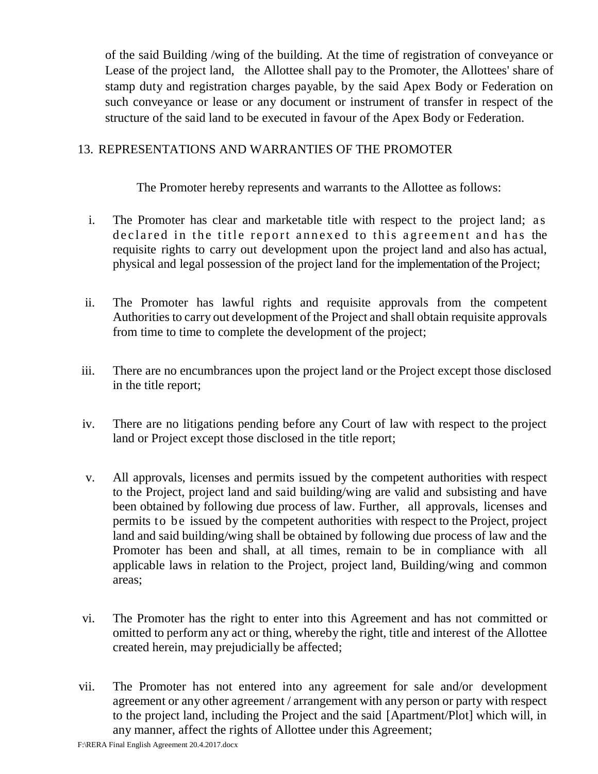of the said Building /wing of the building. At the time of registration of conveyance or Lease of the project land, the Allottee shall pay to the Promoter, the Allottees' share of stamp duty and registration charges payable, by the said Apex Body or Federation on such conveyance or lease or any document or instrument of transfer in respect of the structure of the said land to be executed in favour of the Apex Body or Federation.

## 13. REPRESENTATIONS AND WARRANTIES OF THE PROMOTER

The Promoter hereby represents and warrants to the Allottee as follows:

- i. The Promoter has clear and marketable title with respect to the project land; as declared in the title report annexed to this agreement and has the requisite rights to carry out development upon the project land and also has actual, physical and legal possession of the project land for the implementation of the Project;
- ii. The Promoter has lawful rights and requisite approvals from the competent Authorities to carry out development of the Project and shall obtain requisite approvals from time to time to complete the development of the project;
- iii. There are no encumbrances upon the project land or the Project except those disclosed in the title report;
- iv. There are no litigations pending before any Court of law with respect to the project land or Project except those disclosed in the title report;
- v. All approvals, licenses and permits issued by the competent authorities with respect to the Project, project land and said building/wing are valid and subsisting and have been obtained by following due process of law. Further, all approvals, licenses and permits to be issued by the competent authorities with respect to the Project, project land and said building/wing shall be obtained by following due process of law and the Promoter has been and shall, at all times, remain to be in compliance with all applicable laws in relation to the Project, project land, Building/wing and common areas;
- vi. The Promoter has the right to enter into this Agreement and has not committed or omitted to perform any act or thing, whereby the right, title and interest of the Allottee created herein, may prejudicially be affected;
- vii. The Promoter has not entered into any agreement for sale and/or development agreement or any other agreement / arrangement with any person or party with respect to the project land, including the Project and the said [Apartment/Plot] which will, in any manner, affect the rights of Allottee under this Agreement;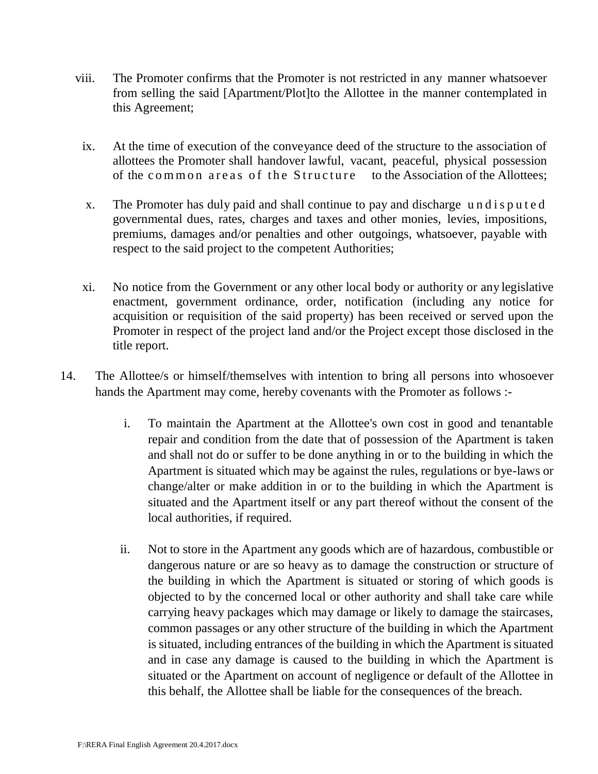- viii. The Promoter confirms that the Promoter is not restricted in any manner whatsoever from selling the said [Apartment/Plot]to the Allottee in the manner contemplated in this Agreement;
- ix. At the time of execution of the conveyance deed of the structure to the association of allottees the Promoter shall handover lawful, vacant, peaceful, physical possession of the common areas of the Structure to the Association of the Allottees;
- x. The Promoter has duly paid and shall continue to pay and discharge und is puted governmental dues, rates, charges and taxes and other monies, levies, impositions, premiums, damages and/or penalties and other outgoings, whatsoever, payable with respect to the said project to the competent Authorities;
- xi. No notice from the Government or any other local body or authority or any legislative enactment, government ordinance, order, notification (including any notice for acquisition or requisition of the said property) has been received or served upon the Promoter in respect of the project land and/or the Project except those disclosed in the title report.
- 14. The Allottee/s or himself/themselves with intention to bring all persons into whosoever hands the Apartment may come, hereby covenants with the Promoter as follows :
	- i. To maintain the Apartment at the Allottee's own cost in good and tenantable repair and condition from the date that of possession of the Apartment is taken and shall not do or suffer to be done anything in or to the building in which the Apartment is situated which may be against the rules, regulations or bye-laws or change/alter or make addition in or to the building in which the Apartment is situated and the Apartment itself or any part thereof without the consent of the local authorities, if required.
	- ii. Not to store in the Apartment any goods which are of hazardous, combustible or dangerous nature or are so heavy as to damage the construction or structure of the building in which the Apartment is situated or storing of which goods is objected to by the concerned local or other authority and shall take care while carrying heavy packages which may damage or likely to damage the staircases, common passages or any other structure of the building in which the Apartment is situated, including entrances of the building in which the Apartment is situated and in case any damage is caused to the building in which the Apartment is situated or the Apartment on account of negligence or default of the Allottee in this behalf, the Allottee shall be liable for the consequences of the breach.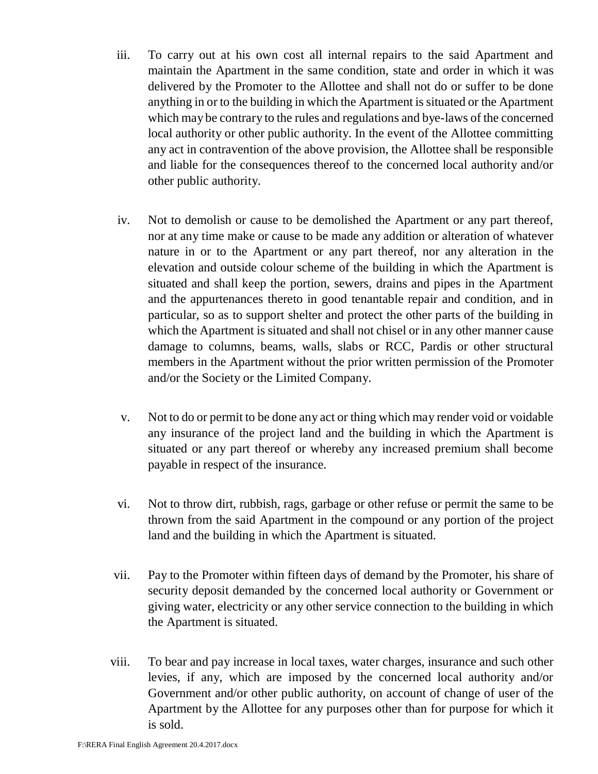- iii. To carry out at his own cost all internal repairs to the said Apartment and maintain the Apartment in the same condition, state and order in which it was delivered by the Promoter to the Allottee and shall not do or suffer to be done anything in or to the building in which the Apartment is situated or the Apartment which may be contrary to the rules and regulations and bye-laws of the concerned local authority or other public authority. In the event of the Allottee committing any act in contravention of the above provision, the Allottee shall be responsible and liable for the consequences thereof to the concerned local authority and/or other public authority.
- iv. Not to demolish or cause to be demolished the Apartment or any part thereof, nor at any time make or cause to be made any addition or alteration of whatever nature in or to the Apartment or any part thereof, nor any alteration in the elevation and outside colour scheme of the building in which the Apartment is situated and shall keep the portion, sewers, drains and pipes in the Apartment and the appurtenances thereto in good tenantable repair and condition, and in particular, so as to support shelter and protect the other parts of the building in which the Apartment is situated and shall not chisel or in any other manner cause damage to columns, beams, walls, slabs or RCC, Pardis or other structural members in the Apartment without the prior written permission of the Promoter and/or the Society or the Limited Company.
- v. Not to do or permit to be done any act or thing which may render void or voidable any insurance of the project land and the building in which the Apartment is situated or any part thereof or whereby any increased premium shall become payable in respect of the insurance.
- vi. Not to throw dirt, rubbish, rags, garbage or other refuse or permit the same to be thrown from the said Apartment in the compound or any portion of the project land and the building in which the Apartment is situated.
- vii. Pay to the Promoter within fifteen days of demand by the Promoter, his share of security deposit demanded by the concerned local authority or Government or giving water, electricity or any other service connection to the building in which the Apartment is situated.
- viii. To bear and pay increase in local taxes, water charges, insurance and such other levies, if any, which are imposed by the concerned local authority and/or Government and/or other public authority, on account of change of user of the Apartment by the Allottee for any purposes other than for purpose for which it is sold.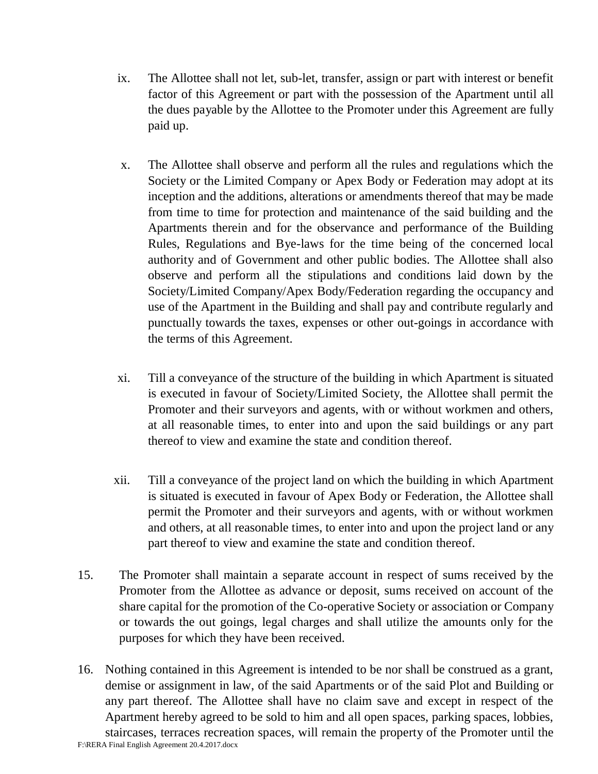- ix. The Allottee shall not let, sub-let, transfer, assign or part with interest or benefit factor of this Agreement or part with the possession of the Apartment until all the dues payable by the Allottee to the Promoter under this Agreement are fully paid up.
- x. The Allottee shall observe and perform all the rules and regulations which the Society or the Limited Company or Apex Body or Federation may adopt at its inception and the additions, alterations or amendments thereof that may be made from time to time for protection and maintenance of the said building and the Apartments therein and for the observance and performance of the Building Rules, Regulations and Bye-laws for the time being of the concerned local authority and of Government and other public bodies. The Allottee shall also observe and perform all the stipulations and conditions laid down by the Society/Limited Company/Apex Body/Federation regarding the occupancy and use of the Apartment in the Building and shall pay and contribute regularly and punctually towards the taxes, expenses or other out-goings in accordance with the terms of this Agreement.
- xi. Till a conveyance of the structure of the building in which Apartment is situated is executed in favour of Society/Limited Society, the Allottee shall permit the Promoter and their surveyors and agents, with or without workmen and others, at all reasonable times, to enter into and upon the said buildings or any part thereof to view and examine the state and condition thereof.
- xii. Till a conveyance of the project land on which the building in which Apartment is situated is executed in favour of Apex Body or Federation, the Allottee shall permit the Promoter and their surveyors and agents, with or without workmen and others, at all reasonable times, to enter into and upon the project land or any part thereof to view and examine the state and condition thereof.
- 15. The Promoter shall maintain a separate account in respect of sums received by the Promoter from the Allottee as advance or deposit, sums received on account of the share capital for the promotion of the Co-operative Society or association or Company or towards the out goings, legal charges and shall utilize the amounts only for the purposes for which they have been received.
- F:\RERA Final English Agreement 20.4.2017.docx 16. Nothing contained in this Agreement is intended to be nor shall be construed as a grant, demise or assignment in law, of the said Apartments or of the said Plot and Building or any part thereof. The Allottee shall have no claim save and except in respect of the Apartment hereby agreed to be sold to him and all open spaces, parking spaces, lobbies, staircases, terraces recreation spaces, will remain the property of the Promoter until the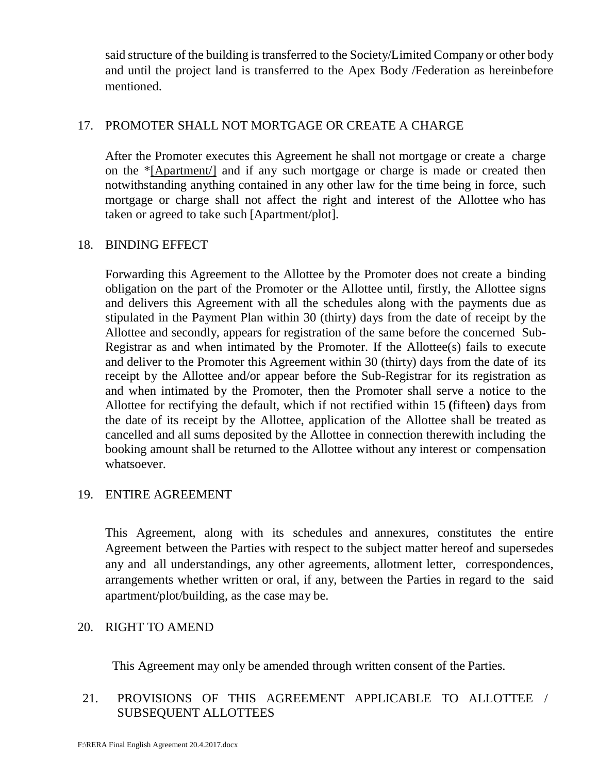said structure of the building is transferred to the Society/Limited Company or other body and until the project land is transferred to the Apex Body /Federation as hereinbefore mentioned.

## 17. PROMOTER SHALL NOT MORTGAGE OR CREATE A CHARGE

After the Promoter executes this Agreement he shall not mortgage or create a charge on the \*[Apartment/] and if any such mortgage or charge is made or created then notwithstanding anything contained in any other law for the time being in force, such mortgage or charge shall not affect the right and interest of the Allottee who has taken or agreed to take such [Apartment/plot].

## 18. BINDING EFFECT

Forwarding this Agreement to the Allottee by the Promoter does not create a binding obligation on the part of the Promoter or the Allottee until, firstly, the Allottee signs and delivers this Agreement with all the schedules along with the payments due as stipulated in the Payment Plan within 30 (thirty) days from the date of receipt by the Allottee and secondly, appears for registration of the same before the concerned Sub-Registrar as and when intimated by the Promoter. If the Allottee(s) fails to execute and deliver to the Promoter this Agreement within 30 (thirty) days from the date of its receipt by the Allottee and/or appear before the Sub-Registrar for its registration as and when intimated by the Promoter, then the Promoter shall serve a notice to the Allottee for rectifying the default, which if not rectified within 15 **(**fifteen**)** days from the date of its receipt by the Allottee, application of the Allottee shall be treated as cancelled and all sums deposited by the Allottee in connection therewith including the booking amount shall be returned to the Allottee without any interest or compensation whatsoever.

## 19. ENTIRE AGREEMENT

This Agreement, along with its schedules and annexures, constitutes the entire Agreement between the Parties with respect to the subject matter hereof and supersedes any and all understandings, any other agreements, allotment letter, correspondences, arrangements whether written or oral, if any, between the Parties in regard to the said apartment/plot/building, as the case may be.

## 20. RIGHT TO AMEND

This Agreement may only be amended through written consent of the Parties.

# 21. PROVISIONS OF THIS AGREEMENT APPLICABLE TO ALLOTTEE / SUBSEQUENT ALLOTTEES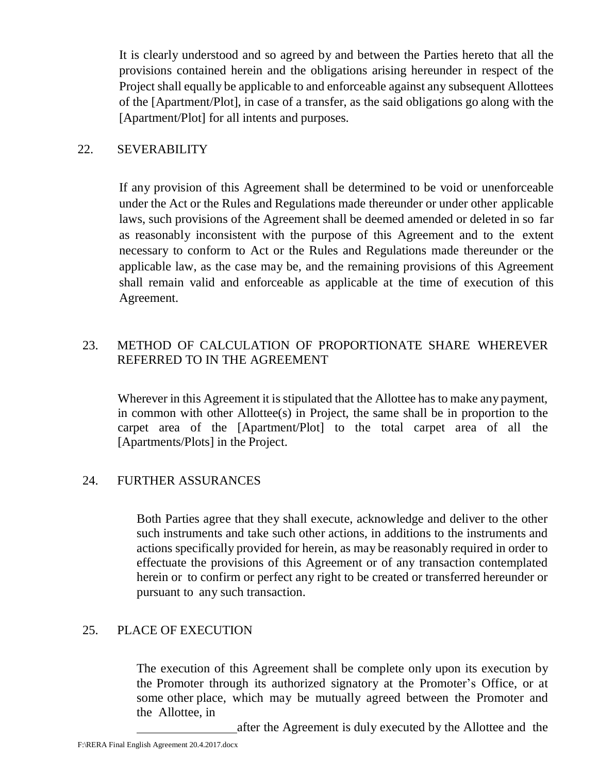It is clearly understood and so agreed by and between the Parties hereto that all the provisions contained herein and the obligations arising hereunder in respect of the Project shall equally be applicable to and enforceable against any subsequent Allottees of the [Apartment/Plot], in case of a transfer, as the said obligations go along with the [Apartment/Plot] for all intents and purposes.

## 22. SEVERABILITY

If any provision of this Agreement shall be determined to be void or unenforceable under the Act or the Rules and Regulations made thereunder or under other applicable laws, such provisions of the Agreement shall be deemed amended or deleted in so far as reasonably inconsistent with the purpose of this Agreement and to the extent necessary to conform to Act or the Rules and Regulations made thereunder or the applicable law, as the case may be, and the remaining provisions of this Agreement shall remain valid and enforceable as applicable at the time of execution of this Agreement.

## 23. METHOD OF CALCULATION OF PROPORTIONATE SHARE WHEREVER REFERRED TO IN THE AGREEMENT

Wherever in this Agreement it is stipulated that the Allottee has to make any payment, in common with other Allottee(s) in Project, the same shall be in proportion to the carpet area of the [Apartment/Plot] to the total carpet area of all the [Apartments/Plots] in the Project.

## 24. FURTHER ASSURANCES

Both Parties agree that they shall execute, acknowledge and deliver to the other such instruments and take such other actions, in additions to the instruments and actions specifically provided for herein, as may be reasonably required in order to effectuate the provisions of this Agreement or of any transaction contemplated herein or to confirm or perfect any right to be created or transferred hereunder or pursuant to any such transaction.

## 25. PLACE OF EXECUTION

The execution of this Agreement shall be complete only upon its execution by the Promoter through its authorized signatory at the Promoter's Office, or at some other place, which may be mutually agreed between the Promoter and the Allottee, in

after the Agreement is duly executed by the Allottee and the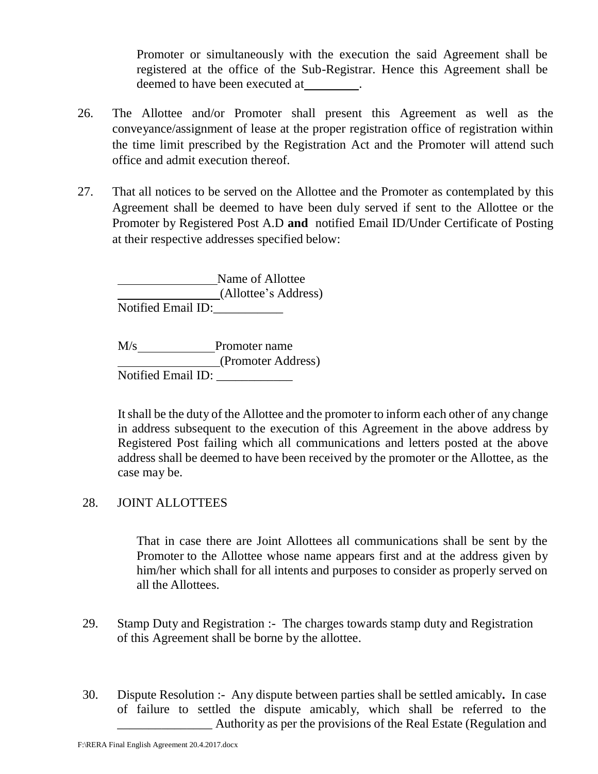Promoter or simultaneously with the execution the said Agreement shall be registered at the office of the Sub-Registrar. Hence this Agreement shall be deemed to have been executed at .

- 26. The Allottee and/or Promoter shall present this Agreement as well as the conveyance/assignment of lease at the proper registration office of registration within the time limit prescribed by the Registration Act and the Promoter will attend such office and admit execution thereof.
- 27. That all notices to be served on the Allottee and the Promoter as contemplated by this Agreement shall be deemed to have been duly served if sent to the Allottee or the Promoter by Registered Post A.D **and** notified Email ID/Under Certificate of Posting at their respective addresses specified below:

Name of Allottee (Allottee's Address) Notified Email ID:

M/s
<u>Promoter</u> name (Promoter Address) Notified Email ID:

It shall be the duty of the Allottee and the promoter to inform each other of any change in address subsequent to the execution of this Agreement in the above address by Registered Post failing which all communications and letters posted at the above address shall be deemed to have been received by the promoter or the Allottee, as the case may be.

## 28. JOINT ALLOTTEES

That in case there are Joint Allottees all communications shall be sent by the Promoter to the Allottee whose name appears first and at the address given by him/her which shall for all intents and purposes to consider as properly served on all the Allottees.

- 29. Stamp Duty and Registration :-The charges towards stamp duty and Registration of this Agreement shall be borne by the allottee.
- 30. Dispute Resolution :-Any dispute between parties shall be settled amicably**.** In case of failure to settled the dispute amicably, which shall be referred to the \_\_\_\_\_\_\_\_\_\_\_\_\_\_\_ Authority as per the provisions of the Real Estate (Regulation and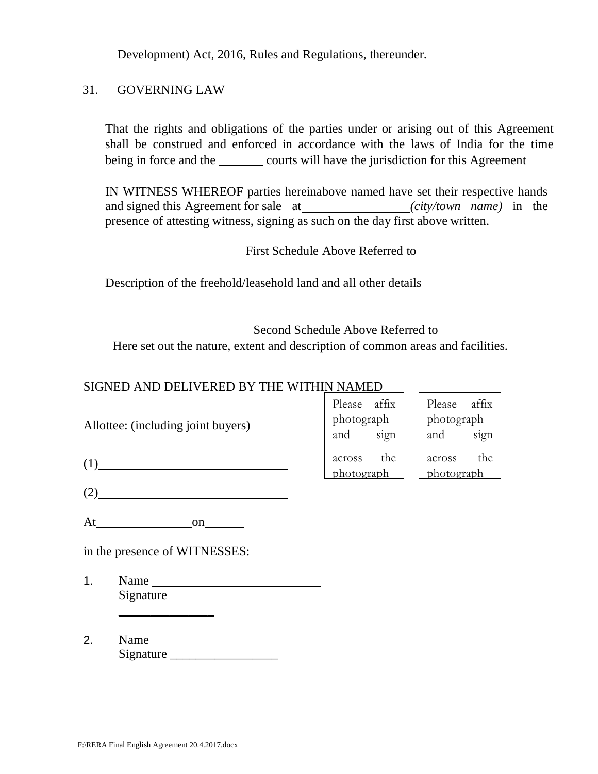Development) Act, 2016, Rules and Regulations, thereunder.

## 31. GOVERNING LAW

That the rights and obligations of the parties under or arising out of this Agreement shall be construed and enforced in accordance with the laws of India for the time being in force and the same courts will have the jurisdiction for this Agreement

IN WITNESS WHEREOF parties hereinabove named have set their respective hands and signed this Agreement for sale at\_\_\_\_\_\_\_\_\_\_\_\_\_\_\_\_\_*(city/town name)* in the presence of attesting witness, signing as such on the day first above written.

First Schedule Above Referred to

Description of the freehold/leasehold land and all other details

Second Schedule Above Referred to

Here set out the nature, extent and description of common areas and facilities.

## SIGNED AND DELIVERED BY THE WITHI<u>N NAMED</u>

|                                    |                      | Please affix<br>photograph |     | affix<br>Please<br>photograph |      |  |
|------------------------------------|----------------------|----------------------------|-----|-------------------------------|------|--|
| Allottee: (including joint buyers) | and                  | sign                       | and |                               | sign |  |
|                                    | across<br>photograph | the                        |     | across<br>photograph          | the  |  |
|                                    |                      |                            |     |                               |      |  |

At on

in the presence of WITNESSES:

\_\_\_\_\_\_\_\_\_\_\_\_\_\_\_

- 1. Name Signature
- 2. Name Signature \_\_\_\_\_\_\_\_\_\_\_\_\_\_\_\_\_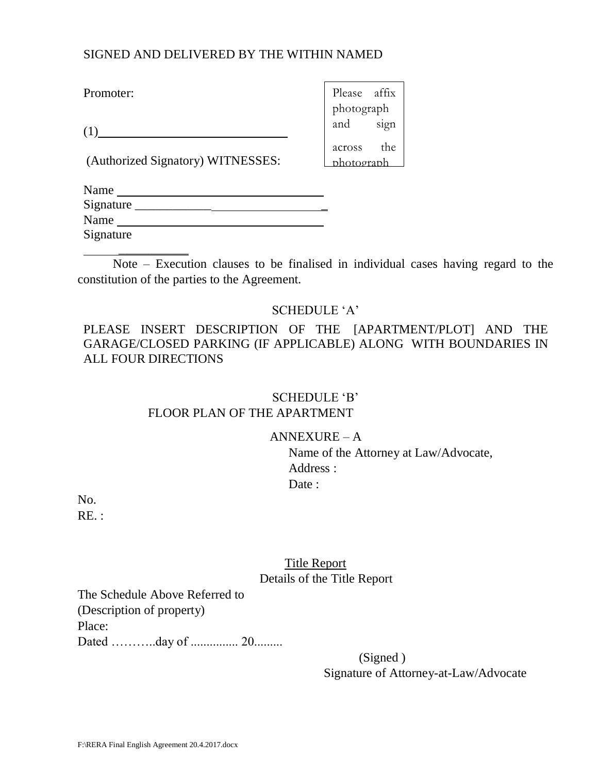## SIGNED AND DELIVERED BY THE WITHIN NAMED

Promoter:

(1)

(Authorized Signatory) WITNESSES:

 $\overline{\phantom{a}}$ 

Please affix photograph and sign across the photograph

| Name      |  |  |
|-----------|--|--|
| Signature |  |  |
| Name      |  |  |
| Signature |  |  |

Note – Execution clauses to be finalised in individual cases having regard to the constitution of the parties to the Agreement.

## SCHEDULE 'A'

## PLEASE INSERT DESCRIPTION OF THE [APARTMENT/PLOT] AND THE GARAGE/CLOSED PARKING (IF APPLICABLE) ALONG WITH BOUNDARIES IN ALL FOUR DIRECTIONS

## SCHEDULE 'B' FLOOR PLAN OF THE APARTMENT

## ANNEXURE – A

Name of the Attorney at Law/Advocate, Address : Date:

No.  $RE.$ :

## Title Report Details of the Title Report

The Schedule Above Referred to (Description of property) Place: Dated ………..day of ............... 20.........

> (Signed ) Signature of Attorney-at-Law/Advocate